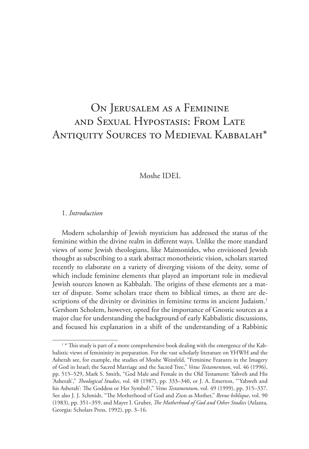# On Jerusalem as a Feminine and Sexual Hypostasis: From Late Antiquity Sources to Medieval Kabbalah\*

# Moshe IDEL

## 1. *Introduction*

Modern scholarship of Jewish mysticism has addressed the status of the feminine within the divine realm in different ways. Unlike the more standard views of some Jewish theologians, like Maimonides, who envisioned Jewish thought as subscribing to a stark abstract monotheistic vision, scholars started recently to elaborate on a variety of diverging visions of the deity, some of which include feminine elements that played an important role in medieval Jewish sources known as Kabbalah. The origins of these elements are a matter of dispute. Some scholars trace them to biblical times, as there are descriptions of the divinity or divinities in feminine terms in ancient Judaism.<sup>1</sup> Gershom Scholem, however, opted for the importance of Gnostic sources as a major clue for understanding the background of early Kabbalistic discussions, and focused his explanation in a shift of the understanding of a Rabbinic

<sup>1</sup> \* This study is part of a more comprehensive book dealing with the emergence of the Kabbalistic views of femininity in preparation. For the vast scholarly literature on YHWH and the Asherah see, for example, the studies of Moshe Weinfeld, "Feminine Features in the Imagery of God in Israel; the Sacred Marriage and the Sacred Tree," *Vetus Testamentum*, vol. 46 (1996), pp. 515–529, Mark S. Smith, "God Male and Female in the Old Testament: Yahveh and His 'Asherah'," *Theological Studies*, vol. 48 (1987), pp. 333–340, or J. A. Emerton, "'Yahweh and his Asherah': The Goddess or Her Symbol?," *Vetus Testamentum*, vol. 49 (1999), pp. 315–337. See also J. J. Schmidt, "The Motherhood of God and Zion as Mother," *Revue biblique*, vol. 90 (1983), pp. 351–359, and Mayer I. Gruber, *The Motherhood of God and Other Studies* (Atlanta, Georgia: Scholars Press, 1992), pp. 3–16.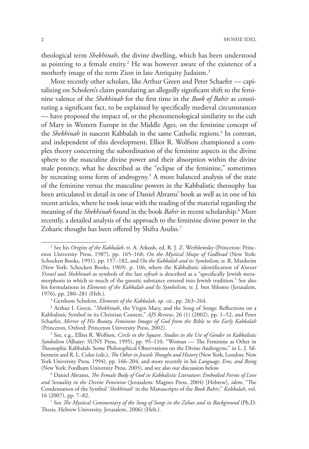theological term *Shekhinah*, the divine dwelling, which has been understood as pointing to a female entity.2 He was however aware of the existence of a motherly image of the term Zion in late Antiquity Judaism.<sup>3</sup>

More recently other scholars, like Arthur Green and Peter Schaefer — capitalizing on Scholem's claim postulating an allegedly significant shift to the feminine valence of the *Shekhinah* for the first time in the *Book of Bahir* as constituting a significant fact, to be explained by specifically medieval circumstances — have proposed the impact of, or the phenomenological similarity to the cult of Mary in Western Europe in the Middle Ages, on the feminine concept of the *Shekhinah* in nascent Kabbalah in the same Catholic regions.<sup>4</sup> In contrast, and independent of this development, Elliot R. Wolfson championed a complex theory concerning the subordination of the feminine aspects in the divine sphere to the masculine divine power and their absorption within the divine male potency, what he described as the "eclipse of the feminine," sometimes by recreating some form of androgyny.5 A more balanced analysis of the state of the feminine versus the masculine powers in the Kabbalistic theosophy has been articulated in detail in one of Daniel Abrams' book as well as in one of his recent articles, where he took issue with the reading of the material regarding the meaning of the *Shekhinah* found in the book *Bahir* in recent scholarship.6 More recently, a detailed analysis of the approach to the feminine divine power in the Zoharic thought has been offered by Shifra Asulin.<sup>7</sup>

<sup>2</sup> See his *Origins of the Kabbalah*, tr. A. Arkush, ed. R. J. Z. Werblowsky (Princeton: Princeton University Press, 1987), pp. 165–168; *On the Mystical Shape of Godhead* (New York: Schocken Books, 1991), pp. 157–182, and *On the Kabbalah and its Symbolism*, tr. R. Manheim (New York: Schocken Books, 1969), p. 106, where the Kabbalistic identification of *Knesset Yisrael* and *Shekhinah* as symbols of the last *sefirah* is described as a "specifically Jewish metamorphosis in which so much of the gnostic substance entered into Jewish tradition." See also his formulations in *Elements of the Kabbalah and Its Symbolism*, tr. J. ben Shlomo (Jerusalem, 1976), pp. 280–281 (Heb.).

<sup>3</sup> Gershom Scholem, *Elements of the Kabbalah*, *op. cit*., pp. 263–264.

<sup>4</sup> Arthur I. Green, "*Shekhinah*, the Virgin Mary, and the Song of Songs: Reflections on a Kabbalistic Symbol in its Christian Context," *AJS Review*, 26 (1) (2002), pp. 1–52, and Peter Schaefer, *Mirror of His Beauty, Feminine Images of God from the Bible to the Early Kabbalah*  (Princeton, Oxford: Princeton University Press, 2002).

<sup>5</sup> See, e.g., Elliot R. Wolfson, *Circle in the Square*. *Studies in the Use of Gender in Kabbalistic Symbolism* (Albany: SUNY Press, 1995), pp. 95–110, "Woman — The Feminine as Other in Theosophic Kabbalah: Some Philosophical Observations on the Divine Androgyne," in L. J. Silberstein and R. L. Cohn (eds.), *The Other in Jewish Thought and History* (New York, London: New York University Press, 1994), pp. 166–204, and more recently in his *Language, Eros, and Being* (New York: Fordham University Press, 2005), and see also our discussion below.

<sup>6</sup> Daniel Abrams, *The Female Body of God in Kabbalistic Literature*: *Embodied Forms of Love and Sexuality in the Divine Feminine* (Jerusalem: Magnes Press, 2004) [Hebrew], *idem*, "The Condensation of the Symbol '*Shekhinah*' in the Manuscripts of the *Book Bahir*," *Kabbalah*, vol. 16 (2007), pp. 7–82.

<sup>7</sup> See *The Mystical Commentary of the Song of Songs in the Zohar and its Background* (Ph.D. Thesis, Hebrew University, Jerusalem, 2006) (Heb.).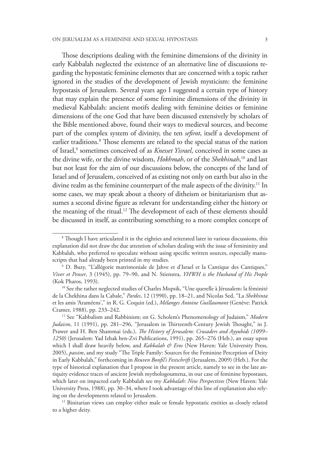Those descriptions dealing with the feminine dimensions of the divinity in early Kabbalah neglected the existence of an alternative line of discussions regarding the hypostatic feminine elements that are concerned with a topic rather ignored in the studies of the development of Jewish mysticism: the feminine hypostasis of Jerusalem. Several years ago I suggested a certain type of history that may explain the presence of some feminine dimensions of the divinity in medieval Kabbalah: ancient motifs dealing with feminine deities or feminine dimensions of the one God that have been discussed extensively by scholars of the Bible mentioned above, found their ways to medieval sources, and become part of the complex system of divinity, the ten *sefirot*, itself a development of earlier traditions.8 Those elements are related to the special status of the nation of Israel,<sup>9</sup> sometimes conceived of as *Knesset Yisrael*, conceived in some cases as the divine wife, or the divine wisdom, *Hokhmah*, or of the *Shekhinah*, 10 and last but not least for the aim of our discussions below, the concepts of the land of Israel and of Jerusalem, conceived of as existing not only on earth but also in the divine realm as the feminine counterpart of the male aspects of the divinity.<sup>11</sup> In some cases, we may speak about a theory of ditheism or binitarianism that assumes a second divine figure as relevant for understanding either the history or the meaning of the ritual.<sup>12</sup> The development of each of these elements should be discussed in itself, as contributing something to a more complex concept of

 $^{\rm 8}$  Though I have articulated it in the eighties and reiterated later in various discussions, this explanation did not draw the due attention of scholars dealing with the issue of femininity and Kabbalah, who preferred to speculate without using specific written sources, especially manuscripts that had already been printed in my studies. 9 D. Buzy, "L'allégorie matrimoniale de Jahve et d'Israel et la Cantique des Cantiques,"

*Viver et Penser*, 3 (1945), pp. 79–90, and N. Stienstra, *YHWH is the Husband of His People* (Kok Pharos, 1993).

<sup>&</sup>lt;sup>10</sup> See the rather neglected studies of Charles Mopsik, "Une querelle à Jérusalem: la féminité de la Chekhina dans la Cabale," *Pardes*, 12 (1990), pp. 18–21, and Nicolas Sed, "La *Shekhinta* et les amis 'Araméens'," in R. G. Coquin (ed.), *Mélanges Antoine Guillaumont* (Genève: Patrick Cramer, 1988), pp. 233–242.

<sup>11</sup> See "Kabbalism and Rabbinism; on G. Scholem's Phenomenology of Judaism," *Modern Judaism*, 11 (1991), pp. 281–296, "Jerusalem in Thirteenth-Century Jewish Thought," in J. Prawer and H. Ben Shammai (eds.), *The History of Jerusalem: Crusaders and Ayyubids (1099– 1250)* (Jerusalem: Yad Izhak ben-Zvi Publications, 1991), pp. 265–276 (Heb.), an essay upon which I shall draw heavily below, and *Kabbalah & Eros* (New Haven: Yale University Press, 2005), *passim*, and my study "The Triple Family: Sources for the Feminine Perception of Deity in Early Kabbalah," forthcoming in *Reuven Bonfil's Festschrift* (Jerusalem, 2009) (Heb.). For the type of historical explanation that I propose in the present article, namely to see in the late antiquity evidence traces of ancient Jewish mythologoumena, in our case of feminine hypostases, which later on impacted early Kabbalah see my *Kabbalah: New Perspectives* (New Haven: Yale University Press, 1988), pp. 30–34, where I took advantage of this line of explanation also relying on the developments related to Jerusalem.<br><sup>12</sup> Binitarian views can employ either male or female hypostatic entities as closely related

to a higher deity.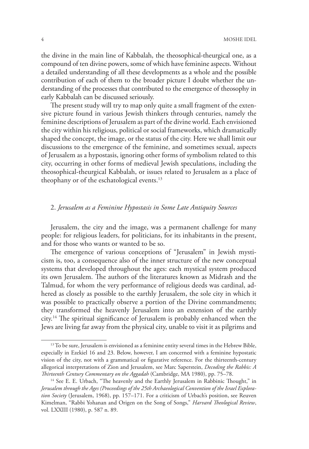the divine in the main line of Kabbalah, the theosophical-theurgical one, as a compound of ten divine powers, some of which have feminine aspects. Without a detailed understanding of all these developments as a whole and the possible contribution of each of them to the broader picture I doubt whether the understanding of the processes that contributed to the emergence of theosophy in early Kabbalah can be discussed seriously.

The present study will try to map only quite a small fragment of the extensive picture found in various Jewish thinkers through centuries, namely the feminine descriptions of Jerusalem as part of the divine world. Each envisioned the city within his religious, political or social frameworks, which dramatically shaped the concept, the image, or the status of the city. Here we shall limit our discussions to the emergence of the feminine, and sometimes sexual, aspects of Jerusalem as a hypostasis, ignoring other forms of symbolism related to this city, occurring in other forms of medieval Jewish speculations, including the theosophical-theurgical Kabbalah, or issues related to Jerusalem as a place of theophany or of the eschatological events.<sup>13</sup>

## 2. *Jerusalem as a Feminine Hypostasis in Some Late Antiquity Sources*

Jerusalem, the city and the image, was a permanent challenge for many people: for religious leaders, for politicians, for its inhabitants in the present, and for those who wants or wanted to be so.

The emergence of various conceptions of "Jerusalem" in Jewish mysticism is, too, a consequence also of the inner structure of the new conceptual systems that developed throughout the ages: each mystical system produced its own Jerusalem. The authors of the literatures known as Midrash and the Talmud, for whom the very performance of religious deeds was cardinal, adhered as closely as possible to the earthly Jerusalem, the sole city in which it was possible to practically observe a portion of the Divine commandments; they transformed the heavenly Jerusalem into an extension of the earthly city.14 The spiritual significance of Jerusalem is probably enhanced when the Jews are living far away from the physical city, unable to visit it as pilgrims and

<sup>&</sup>lt;sup>13</sup> To be sure, Jerusalem is envisioned as a feminine entity several times in the Hebrew Bible, especially in Ezekiel 16 and 23. Below, however, I am concerned with a feminine hypostatic vision of the city, not with a grammatical or figurative reference. For the thirteenth-century allegorical interpretations of Zion and Jerusalem, see Marc Saperstein, *Decoding the Rabbis: A* 

*Thirteenth Century Commentary on the Aggadah* (Cambridge, MA 1980), pp. 75–78. 14 See E. E. Urbach, "The heavenly and the Earthly Jerusalem in Rabbinic Thought," in *Jerusalem through the Ages (Proceedings of the 25th Archaeological Convention of the Israel Exploration Society* (Jerusalem, 1968), pp. 157–171. For a criticism of Urbach's position, see Reuven Kimelman, "Rabbi Yohanan and Origen on the Song of Songs," *Harvard Theological Review*, vol. LXXIII (1980), p. 587 n. 89.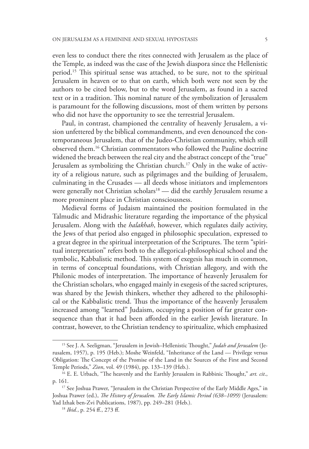even less to conduct there the rites connected with Jerusalem as the place of the Temple, as indeed was the case of the Jewish diaspora since the Hellenistic period.15 This spiritual sense was attached, to be sure, not to the spiritual Jerusalem in heaven or to that on earth, which both were not seen by the authors to be cited below, but to the word Jerusalem, as found in a sacred text or in a tradition. This nominal nature of the symbolization of Jerusalem is paramount for the following discussions, most of them written by persons who did not have the opportunity to see the terrestrial Jerusalem.

Paul, in contrast, championed the centrality of heavenly Jerusalem, a vision unfettered by the biblical commandments, and even denounced the contemporaneous Jerusalem, that of the Judeo-Christian community, which still observed them.16 Christian commentators who followed the Pauline doctrine widened the breach between the real city and the abstract concept of the "true" Jerusalem as symbolizing the Christian church.17 Only in the wake of activity of a religious nature, such as pilgrimages and the building of Jerusalem, culminating in the Crusades — all deeds whose initiators and implementors were generally not Christian scholars<sup>18</sup> — did the earthly Jerusalem resume a more prominent place in Christian consciousness.

Medieval forms of Judaism maintained the position formulated in the Talmudic and Midrashic literature regarding the importance of the physical Jerusalem. Along with the *halakhah*, however, which regulates daily activity, the Jews of that period also engaged in philosophic speculation, expressed to a great degree in the spiritual interpretation of the Scriptures. The term "spiritual interpretation" refers both to the allegorical-philosophical school and the symbolic, Kabbalistic method. This system of exegesis has much in common, in terms of conceptual foundations, with Christian allegory, and with the Philonic modes of interpretation. The importance of heavenly Jerusalem for the Christian scholars, who engaged mainly in exegesis of the sacred scriptures, was shared by the Jewish thinkers, whether they adhered to the philosophical or the Kabbalistic trend. Thus the importance of the heavenly Jerusalem increased among "learned" Judaism, occupying a position of far greater consequence than that it had been afforded in the earlier Jewish literature. In contrast, however, to the Christian tendency to spiritualize, which emphasized

<sup>15</sup> See J. A. Seeligman, "Jerusalem in Jewish–Hellenistic Thought," *Judah and Jerusalem* (Jerusalem, 1957), p. 195 (Heb.); Moshe Weinfeld, "Inheritance of the Land — Privilege versus Obligation: The Concept of the Promise of the Land in the Sources of the First and Second Temple Periods," *Zion*, vol. 49 (1984), pp. 133–139 (Heb.).

<sup>16</sup> E. E. Urbach, "The heavenly and the Earthly Jerusalem in Rabbinic Thought," *art. cit*., p. 161.

<sup>&</sup>lt;sup>17</sup> See Joshua Prawer, "Jerusalem in the Christian Perspective of the Early Middle Ages," in Joshua Prawer (ed.), *The History of Jerusalem. The Early Islamic Period (638–1099)* (Jerusalem: Yad Izhak ben-Zvi Publications, 1987), pp. 249–281 (Heb.).

<sup>18</sup> *Ibid.*, p. 254 ff., 273 ff.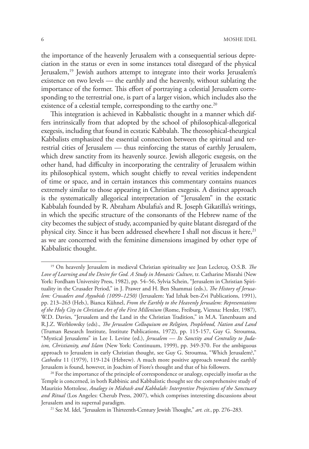the importance of the heavenly Jerusalem with a consequential serious depreciation in the status or even in some instances total disregard of the physical Jerusalem,19 Jewish authors attempt to integrate into their works Jerusalem's existence on two levels — the earthly and the heavenly, without sublating the importance of the former. This effort of portraying a celestial Jerusalem corresponding to the terrestrial one, is part of a larger vision, which includes also the existence of a celestial temple, corresponding to the earthy one.<sup>20</sup>

This integration is achieved in Kabbalistic thought in a manner which differs intrinsically from that adopted by the school of philosophical-allegorical exegesis, including that found in ecstatic Kabbalah. The theosophical-theurgical Kabbalists emphasized the essential connection between the spiritual and terrestrial cities of Jerusalem — thus reinforcing the status of earthly Jerusalem, which drew sanctity from its heavenly source. Jewish allegoric exegesis, on the other hand, had difficulty in incorporating the centrality of Jerusalem within its philosophical system, which sought chiefly to reveal verities independent of time or space, and in certain instances this commentary contains nuances extremely similar to those appearing in Christian exegesis. A distinct approach is the systematically allegorical interpretation of "Jerusalem" in the ecstatic Kabbalah founded by R. Abraham Abulafia's and R. Joseph Gikatilla's writings, in which the specific structure of the consonants of the Hebrew name of the city becomes the subject of study, accompanied by quite blatant disregard of the physical city. Since it has been addressed elsewhere I shall not discuss it here,<sup>21</sup> as we are concerned with the feminine dimensions imagined by other type of Kabbalistic thought.

<sup>19</sup> On heavenly Jerusalem in medieval Christian spirituality see Jean Leclercq, O.S.B. *The Love of Learning and the Desire for God. A Study in Monastic Culture*, tr. Catharine Misrahi (New York: Fordham University Press, 1982), pp. 54–56, Sylvia Schein, "Jerusalem in Christian Spirituality in the Crusader Period," in J. Prawer and H. Ben Shammai (eds.), *The History of Jerusalem: Crusaders and Ayyubids (1099–1250)* (Jerusalem: Yad Izhak ben-Zvi Publications, 1991), pp. 213–263 (Heb.), Bianca Kühnel, *From the Earthly to the Heavenly Jerusalem: Representations of the Holy City in Christian Art of the First Millenium* (Rome, Freiburg, Vienna: Herder, 1987), W.D. Davies, "Jerusalem and the Land in the Christian Tradition," in M.A. Tanenbaum and R.J.Z. Werblowsky (eds)., *The Jerusalem Colloquium on Religion, Peoplehood, Nation and Land* (Truman Research Institute, Institute Publications, 1972), pp. 115-157, Guy G. Stroumsa, "Mystical Jerusalems" in Lee I. Levine (ed.), *Jerusalem — Its Sanctity and Centrality to Judaism, Christianity, and Islam* (New York: Continuum, 1999), pp. 349-370. For the ambiguous approach to Jerusalem in early Christian thought, see Guy G. Stroumsa, "Which Jerusalem?," *Cathedra* 11 (1979), 119-124 (Hebrew). A much more positive approach toward the earthly Jerusalem is found, however, in Joachim of Fiore's thought and that of his followers.

 $20$  For the importance of the principle of correspondence or analogy, especially insofar as the Temple is concerned, in both Rabbinic and Kabbalistic thought see the comprehensive study of Maurizio Mottolese, *Analogy in Midrash and Kabbalah: Interpretive Projections of the Sanctuary and Ritual* (Los Angeles: Cherub Press, 2007), which comprises interesting discussions about Jerusalem and its supernal paradigm.

<sup>21</sup> See M. Idel, "Jerusalem in Thirteenth-Century Jewish Thought," *art. cit.*, pp. 276–283.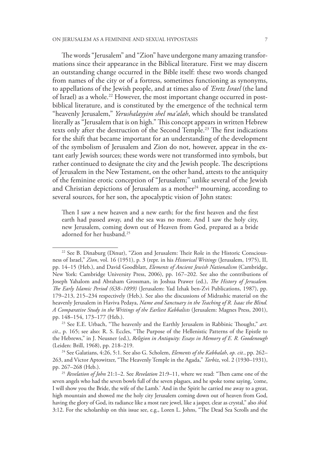The words "Jerusalem" and "Zion" have undergone many amazing transformations since their appearance in the Biblical literature. First we may discern an outstanding change occurred in the Bible itself: these two words changed from names of the city or of a fortress, sometimes functioning as synonyms, to appellations of the Jewish people, and at times also of *'Eretz Israel* (the land of Israel) as a whole.22 However, the most important change occurred in postbiblical literature, and is constituted by the emergence of the technical term "heavenly Jerusalem," *Yerushalayyim shel ma'alah*, which should be translated literally as "Jerusalem that is on high." This concept appears in written Hebrew texts only after the destruction of the Second Temple.<sup>23</sup> The first indications for the shift that became important for an understanding of the development of the symbolism of Jerusalem and Zion do not, however, appear in the extant early Jewish sources; these words were not transformed into symbols, but rather continued to designate the city and the Jewish people. The descriptions of Jerusalem in the New Testament, on the other hand, attests to the antiquity of the feminine erotic conception of "Jerusalem;" unlike several of the Jewish and Christian depictions of Jerusalem as a mother<sup>24</sup> mourning, according to several sources, for her son, the apocalyptic vision of John states:

Then I saw a new heaven and a new earth; for the first heaven and the first earth had passed away, and the sea was no more. And I saw the holy city, new Jerusalem, coming down out of Heaven from God, prepared as a bride adorned for her husband.25

<sup>&</sup>lt;sup>22</sup> See B. Dinaburg (Dinur), "Zion and Jerusalem: Their Role in the Historic Consciousness of Israel," *Zion*, vol. 16 (1951), p. 3 (repr. in his *Historical Writings* (Jerusalem, 1975), II, pp. 14–15 (Heb.), and David Goodblatt, *Elements of Ancient Jewish Nationalism* (Cambridge, New York: Cambridge University Press, 2006), pp. 167–202. See also the contributions of Joseph Yahalom and Abraham Grossman, in Joshua Prawer (ed.), *The History of Jerusalem. The Early Islamic Period (638–1099)* (Jerusalem: Yad Izhak ben-Zvi Publications, 1987), pp. 179–213, 215–234 respectively (Heb.). See also the discussions of Midrashic material on the heavenly Jerusalem in Haviva Pedaya, *Name and Sanctuary in the Teaching of R. Isaac the Blind. A Comparative Study in the Writings of the Earliest Kabbalists* (Jerusalem: Magnes Press, 2001), pp. 148–154, 173–177 (Heb.).

<sup>&</sup>lt;sup>23</sup> See E.E. Urbach, "The heavenly and the Earthly Jerusalem in Rabbinic Thought," art. *cit*., p. 165; see also: R. S. Eccles, "The Purpose of the Hellenistic Patterns of the Epistle to the Hebrews," in J. Neusner (ed.), *Religion in Antiquity: Essays in Memory of E. R. Goodenough* (Leiden: Brill, 1968), pp. 218–219.

<sup>24</sup> See Galatians, 4:26, 5:1. See also G. Scholem, *Elements of the Kabbalah*, *op. cit.*, pp. 262– 263, and Victor Aptowitzer, "The Heavenly Temple in the Agada," *Tarbiz*, vol. 2 (1930–1931), pp. 267–268 (Heb.).

<sup>25</sup> *Revelation of John* 21:1–2. See *Revelation* 21:9–11, where we read: "Then came one of the seven angels who had the seven bowls full of the seven plagues, and he spoke tome saying, 'come, I will show you the Bride, the wife of the Lamb.' And in the Spirit he carried me away to a great, high mountain and showed me the holy city Jerusalem coming down out of heaven from God, having the glory of God, its radiance like a most rare jewel, like a jasper, clear as crystal," also *ibid.* 3:12. For the scholarship on this issue see, e.g., Loren L. Johns, "The Dead Sea Scrolls and the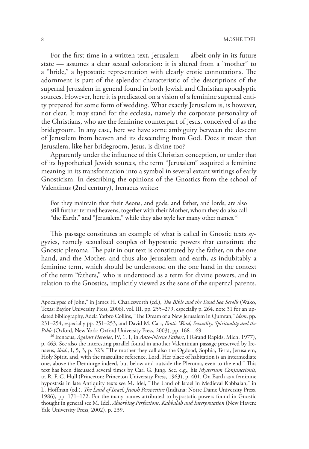For the first time in a written text, Jerusalem — albeit only in its future state — assumes a clear sexual coloration: it is altered from a "mother" to a "bride," a hypostatic representation with clearly erotic connotations. The adornment is part of the splendor characteristic of the descriptions of the supernal Jerusalem in general found in both Jewish and Christian apocalyptic sources. However, here it is predicated on a vision of a feminine supernal entity prepared for some form of wedding. What exactly Jerusalem is, is however, not clear. It may stand for the ecclesia, namely the corporate personality of the Christians, who are the feminine counterpart of Jesus, conceived of as the bridegroom. In any case, here we have some ambiguity between the descent of Jerusalem from heaven and its descending from God. Does it mean that Jerusalem, like her bridegroom, Jesus, is divine too?

Apparently under the influence of this Christian conception, or under that of its hypothetical Jewish sources, the term "Jerusalem" acquired a feminine meaning in its transformation into a symbol in several extant writings of early Gnosticism. In describing the opinions of the Gnostics from the school of Valentinus (2nd century), Irenaeus writes:

For they maintain that their Aeons, and gods, and father, and lords, are also still further termed heavens, together with their Mother, whom they do also call "the Earth," and "Jerusalem," while they also style her many other names.<sup>26</sup>

This passage constitutes an example of what is called in Gnostic texts sygyzies, namely sexualized couples of hypostatic powers that constitute the Gnostic pleroma. The pair in our text is constituted by the father, on the one hand, and the Mother, and thus also Jerusalem and earth, as indubitably a feminine term, which should be understood on the one hand in the context of the term "fathers," who is understood as a term for divine powers, and in relation to the Gnostics, implicitly viewed as the sons of the supernal parents.

Apocalypse of John," in James H. Charlesworth (ed.), *The Bible and the Dead Sea Scrolls* (Wako, Texas: Baylor University Press, 2006), vol. III, pp. 255–279, especially p. 264, note 31 for an updated bibliography, Adela Yarbro Collins, "The Dream of a New Jerusalem in Qumran," *idem*, pp. 231–254, especially pp. 251–253, and David M. Carr, *Erotic Word, Sexuality, Spirituality and the Bible* (Oxford, New York: Oxford University Press, 2003), pp. 168–169.

<sup>26</sup> Irenaeus, *Against Heresies*, IV, 1, 1, in *Ante-Nicene Fathers*, I (Grand Rapids, Mich. 1977), p. 463. See also the interesting parallel found in another Valentinian passage preserved by Irenaeus, *ibid.*, I, 5, 3, p. 323: "The mother they call also the Ogdoad, Sophia, Terra, Jerusalem, Holy Spirit, and, with the masculine reference, Lord. Her place of habitation is an intermediate one, above the Demiurge indeed, but below and outside the Pleroma, even to the end." This text has been discussed several times by Carl G. Jung. See, e.g., his *Mysterium Conjunctionis*, tr. R. F. C. Hull (Princeton: Princeton University Press, 1963), p. 401. On Earth as a feminine hypostasis in late Antiquity texts see M. Idel, "The Land of Israel in Medieval Kabbalah," in L. Hoffman (ed.). *The Land of Israel: Jewish Perspective* (Indiana: Notre Dame University Press, 1986), pp. 171–172. For the many names attributed to hypostatic powers found in Gnostic thought in general see M. Idel, *Absorbing Perfections*. *Kabbalah and Interpretation* (New Haven: Yale University Press, 2002), p. 239.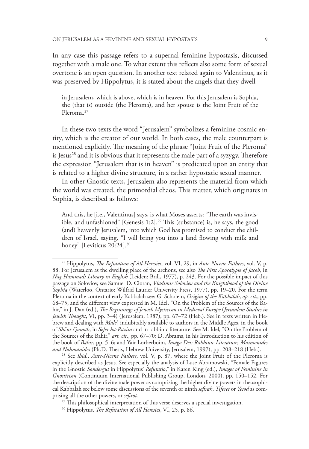In any case this passage refers to a supernal feminine hypostasis, discussed together with a male one. To what extent this reflects also some form of sexual overtone is an open question. In another text related again to Valentinus, as it was preserved by Hippolytus, it is stated about the angels that they dwell

in Jerusalem, which is above, which is in heaven. For this Jerusalem is Sophia, she (that is) outside (the Pleroma), and her spouse is the Joint Fruit of the Pleroma<sup>27</sup>

In these two texts the word "Jerusalem" symbolizes a feminine cosmic entity, which is the creator of our world. In both cases, the male counterpart is mentioned explicitly. The meaning of the phrase "Joint Fruit of the Pleroma" is Jesus<sup>28</sup> and it is obvious that it represents the male part of a syzygy. Therefore the expression "Jerusalem that is in heaven" is predicated upon an entity that is related to a higher divine structure, in a rather hypostatic sexual manner.

In other Gnostic texts, Jerusalem also represents the material from which the world was created, the primordial chaos. This matter, which originates in Sophia, is described as follows:

And this, he [i.e., Valentinus] says, is what Moses asserts: "The earth was invisible, and unfashioned" [Genesis  $1:2$ ].<sup>29</sup> This (substance) is, he says, the good (and) heavenly Jerusalem, into which God has promised to conduct the children of Israel, saying, "I will bring you into a land flowing with milk and honey" [Leviticus 20:24].<sup>30</sup>

<sup>27</sup> Hippolytus, *The Refutation of All Heresies*, vol. VI, 29, in *Ante-Nicene Fathers*, vol. V, p. 88. For Jerusalem as the dwelling place of the archons, see also *The First Apocalypse of Jacob*, in *Nag Hammadi Library in English* (Leiden: Brill, 1977), p. 243. For the possible impact of this passage on Soloviov, see Samuel D. Cioran, *Vladimir Soloviev and the Knighthood of the Divine Sophia* (Waterloo, Ontario: Wilfrid Laurier University Press, 1977), pp. 19–20. For the term Pleroma in the context of early Kabbalah see: G. Scholem, *Origins of the Kabbalah*, *op. cit*., pp. 68–75; and the different view expressed in M. Idel, "On the Problem of the Sources of the Bahir," in J. Dan (ed.), *The Beginnings of Jewish Mysticism in Medieval Europe* (*Jerusalem Studies in Jewish Thought*, VI, pp. 3–4) (Jerusalem, 1987), pp. 67–72 (Heb.). See in texts written in Hebrew and dealing with *Male'*, indubitably available to authors in the Middle Ages, in the book of *Shi'ur Qomah*, in *Sefer ha-Razim* and in rabbinic literature. See M. Idel, "On the Problem of the Sources of the Bahir," *art. cit*., pp. 67–70; D. Abrams, in his Introduction to his edition of the book of *Bahir*, pp. 5–6; and Yair Lorberboim, *Imago Dei: Rabbinic Literature, Maimonides* 

<sup>&</sup>lt;sup>28</sup> See *ibid., Ante-Nicene Fathers*, vol. V, p. 87, where the Joint Fruit of the Pleroma is explicitly described as Jesus. See especially the analysis of Luse Abramowski, "Female Figures in the Gnostic *Sondergut* in Hippolytus' *Refutatio*," in Karen King (ed.), *Images of Feminine in Gnosticism* (Continuum International Publishing Group, London, 2000), pp. 150–152. For the description of the divine male power as comprising the higher divine powers in theosophical Kabbalah see below some discussions of the seventh or ninth *sefirah*, *Tiferet* or *Yesod* as comprising all the other powers, or *sefirot.*

<sup>&</sup>lt;sup>29</sup> This philosophical interpretation of this verse deserves a special investigation.

<sup>30</sup> Hippolytus, *The Refutation of All Heresies*, VI, 25, p. 86.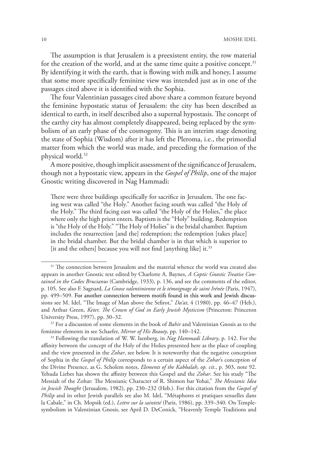The assumption is that Jerusalem is a preexistent entity, the row material for the creation of the world, and at the same time quite a positive concept.<sup>31</sup> By identifying it with the earth, that is flowing with milk and honey, I assume that some more specifically feminine view was intended just as in one of the passages cited above it is identified with the Sophia.

The four Valentinian passages cited above share a common feature beyond the feminine hypostatic status of Jerusalem: the city has been described as identical to earth, in itself described also a supernal hypostasis. The concept of the earthy city has almost completely disappeared, being replaced by the symbolism of an early phase of the cosmogony. This is an interim stage denoting the state of Sophia (Wisdom) after it has left the Pleroma, i.e., the primordial matter from which the world was made, and preceding the formation of the physical world.32

A more positive, though implicit assessment of the significance of Jerusalem, though not a hypostatic view, appears in the *Gospel of Philip*, one of the major Gnostic writing discovered in Nag Hammadi:

There were three buildings specifically for sacrifice in Jerusalem. The one facing west was called "the Holy." Another facing south was called "the Holy of the Holy." The third facing east was called "the Holy of the Holies," the place where only the high priest enters. Baptism is the "Holy" building. Redemption is "the Holy of the Holy." "The Holy of Holies" is the bridal chamber. Baptism includes the resurrection [and the] redemption; the redemption [takes place] in the bridal chamber. But the bridal chamber is in that which is superior to [it and the others] because you will not find [anything like] it.<sup>33</sup>

<sup>&</sup>lt;sup>31</sup> The connection between Jerusalem and the material whence the world was created also appears in another Gnostic text edited by Charlotte A. Baynes, *A Coptic Gnostic Treatise Contained in the Codex Brucianus* (Cambridge, 1933), p. 136, and see the comments of the editor, p. 105. See also F. Sagnard, *La Gnose valentinienne et le témoignage de saint Irénée* (Paris, 1947), pp. 499–509. For another connection between motifs found in this work and Jewish discussions see M. Idel, "The Image of Man above the Sefirot," *Da'at*, 4 (1980), pp. 46–47 (Heb.), and Arthur Green, *Keter, The Crown of God in Early Jewish Mysticism* (Princeton: Princeton University Press, 1997), pp. 30–32.

<sup>32</sup> For a discussion of some elements in the book of *Bahir* and Valentinian Gnosis as to the feminine elements in see Schaefer, *Mirror of His Beauty*, pp. 140–142.

<sup>33</sup> Following the translation of W. W. Isenberg, in *Nag Hammadi Library*, p. 142. For the affinity between the concept of the Holy of the Holies presented here as the place of coupling and the view presented in the *Zohar*, see below. It is noteworthy that the negative conception of Sophia in the *Gospel of Philip* corresponds to a certain aspect of the *Zohar*'s conception of the Divine Presence, as G. Scholem notes, *Elements of the Kabbalah*, *op. cit*., p. 303, note 92. Yehuda Liebes has shown the affinity between this Gospel and the *Zohar*. See his study "The Messiah of the Zohar: The Messianic Character of R. Shimon bar Yohai," *The Messianic Idea in Jewish Thought* (Jerusalem, 1982), pp. 230–232 (Heb.). For this citation from the *Gospel of Philip* and its other Jewish parallels see also M. Idel, "Métaphores et pratiques sexuelles dans la Cabale," in Ch. Mopsik (ed.), *Lettre sur la sainteté* (Paris, 1986), pp. 339–340. On Templesymbolism in Valentinian Gnosis, see April D. DeConick, "Heavenly Temple Traditions and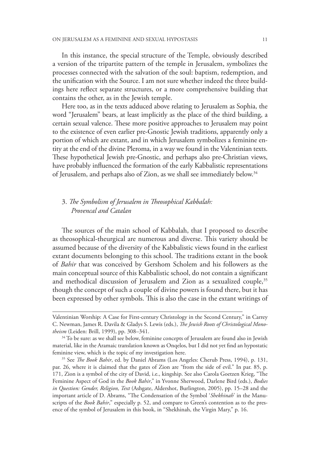In this instance, the special structure of the Temple, obviously described a version of the tripartite pattern of the temple in Jerusalem, symbolizes the processes connected with the salvation of the soul: baptism, redemption, and the unification with the Source. I am not sure whether indeed the three buildings here reflect separate structures, or a more comprehensive building that contains the other, as in the Jewish temple.

Here too, as in the texts adduced above relating to Jerusalem as Sophia, the word "Jerusalem" bears, at least implicitly as the place of the third building, a certain sexual valence. These more positive approaches to Jerusalem may point to the existence of even earlier pre-Gnostic Jewish traditions, apparently only a portion of which are extant, and in which Jerusalem symbolizes a feminine entity at the end of the divine Pleroma, in a way we found in the Valentinian texts. These hypothetical Jewish pre-Gnostic, and perhaps also pre-Christian views, have probably influenced the formation of the early Kabbalistic representations of Jerusalem, and perhaps also of Zion, as we shall see immediately below.<sup>34</sup>

# 3. *The Symbolism of Jerusalem in Theosophical Kabbalah: Provencal and Catalan*

The sources of the main school of Kabbalah, that I proposed to describe as theosophical-theurgical are numerous and diverse. This variety should be assumed because of the diversity of the Kabbalistic views found in the earliest extant documents belonging to this school. The traditions extant in the book of *Bahir* that was conceived by Gershom Scholem and his followers as the main conceptual source of this Kabbalistic school, do not contain a significant and methodical discussion of Jerusalem and Zion as a sexualized couple,<sup>35</sup> though the concept of such a couple of divine powers is found there, but it has been expressed by other symbols. This is also the case in the extant writings of

Valentinian Worship: A Case for First-century Christology in the Second Century," in Carrey C. Newman, James R. Davila & Gladys S. Lewis (eds.), *The Jewish Roots of Christological Monotheism* (Leiden: Brill, 1999), pp. 308–341.

<sup>&</sup>lt;sup>34</sup> To be sure: as we shall see below, feminine concepts of Jerusalem are found also in Jewish material, like in the Aramaic translation known as Onqelos, but I did not yet find an hypostatic feminine view, which is the topic of my investigation here.

<sup>35</sup> See *The Book Bahir*, ed. by Daniel Abrams (Los Angeles: Cherub Press, 1994), p. 131, par. 26, where it is claimed that the gates of Zion are "from the side of evil." In par. 85, p. 171, Zion is a symbol of the city of David, i.e., kingship. See also Carola Goetzen Krieg, "The Feminine Aspect of God in the *Book Bahir*," in Yvonne Sherwood, Darlene Bird (eds.), *Bodies in Question: Gender, Religion, Text* (Ashgate, Aldershot, Burlington, 2005), pp. 15–28 and the important article of D. Abrams, "The Condensation of the Symbol '*Shekhinah*' in the Manuscripts of the *Book Bahir*," especially p. 52, and compare to Green's contention as to the presence of the symbol of Jerusalem in this book, in "Shekhinah, the Virgin Mary," p. 16.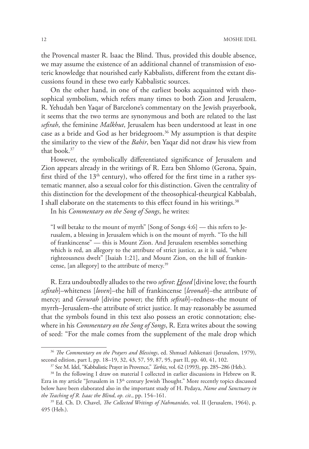the Provencal master R. Isaac the Blind. Thus, provided this double absence, we may assume the existence of an additional channel of transmission of esoteric knowledge that nourished early Kabbalists, different from the extant discussions found in these two early Kabbalistic sources.

On the other hand, in one of the earliest books acquainted with theosophical symbolism, which refers many times to both Zion and Jerusalem, R. Yehudah ben Yaqar of Barcelone's commentary on the Jewish prayerbook, it seems that the two terms are synonymous and both are related to the last *sefirah*, the feminine *Malkhut*, Jerusalem has been understood at least in one case as a bride and God as her bridegroom.<sup>36</sup> My assumption is that despite the similarity to the view of the *Bahir*, ben Yaqar did not draw his view from that book.37

However, the symbolically differentiated significance of Jerusalem and Zion appears already in the writings of R. Ezra ben Shlomo (Gerona, Spain, first third of the  $13<sup>th</sup>$  century), who offered for the first time in a rather systematic manner, also a sexual color for this distinction. Given the centrality of this distinction for the development of the theosophical-theurgical Kabbalah, I shall elaborate on the statements to this effect found in his writings.<sup>38</sup>

In his *Commentary on the Song of Songs*, he writes:

"I will betake to the mount of myrrh" [Song of Songs 4:6] — this refers to Jerusalem, a blessing in Jerusalem which is on the mount of myrrh. "To the hill of frankincense" — this is Mount Zion. And Jerusalem resembles something which is red, an allegory to the attribute of strict justice, as it is said, "where righteousness dwelt" [Isaiah 1:21], and Mount Zion, on the hill of frankincense, [an allegory] to the attribute of mercy.39

R. Ezra undoubtedly alludes to the two *sefirot*: *Hesed* [divine love; the fourth *sefirah*]–whiteness [*loven*]–the hill of frankincense [*levonah*]–the attribute of mercy; and *Gevurah* [divine power; the fifth *sefirah*]–redness–the mount of myrrh–Jerusalem–the attribute of strict justice. It may reasonably be assumed that the symbols found in this text also possess an erotic connotation; elsewhere in his *Commentary on the Song of Songs*, R. Ezra writes about the sowing of seed: "For the male comes from the supplement of the male drop which

<sup>36</sup> *The Commentary on the Prayers and Blessings*, ed. Shmuel Ashkenazi (Jerusalem, 1979), second edition, part I, pp. 18–19, 32, 43, 57, 59, 87, 95, part II, pp. 40, 41, 102. 37 See M. Idel, "Kabbalistic Prayer in Provence," *Tarbiz*, vol. 62 (1993), pp. 285–286 (Heb.).

<sup>38</sup> In the following I draw on material I collected in earlier discussions in Hebrew on R. Ezra in my article "Jerusalem in 13<sup>th</sup> century Jewish Thought." More recently topics discussed below have been elaborated also in the important study of H. Pedaya, *Name and Sanctuary in the Teaching of R. Isaac the Blind*, *op. cit*., pp. 154–161.

<sup>39</sup> Ed. Ch. D. Chavel, *The Collected Writings of Nahmanides*, vol. II (Jerusalem, 1964), p. 495 (Heb.).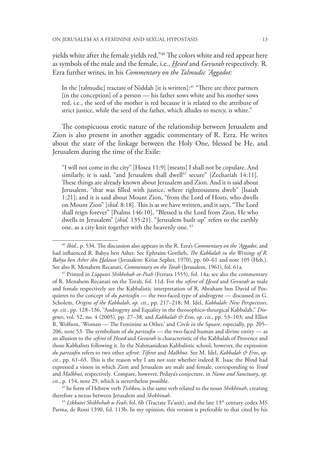yields white after the female yields red."40 The colors white and red appear here as symbols of the male and the female, i.e., *Hesed* and *Gevurah* respectively*.* R. Ezra further writes, in his *Commentary on the Talmudic 'Aggadot:*

In the [talmudic] tractate of Niddah [it is written]:<sup>41</sup> "There are three partners [in the conception] of a person — his father sows white and his mother sows red, i.e., the seed of the mother is red because it is related to the attribute of strict justice, while the seed of the father, which alludes to mercy, is white."

The conspicuous erotic nature of the relationship between Jerusalem and Zion is also present in another aggadic commentary of R. Ezra. He writes about the state of the linkage between the Holy One, blessed be He, and Jerusalem during the time of the Exile:

"I will not come in the city" [Hosea 11:9] [means] I shall not be copulate. And similarly, it is said, "and Jerusalem shall dwell<sup>42</sup> secure" [Zechariah 14:11]. These things are already known about Jerusalem and Zion. And it is said about Jerusalem, "that was filled with justice, where righteousness dwelt" [Isaiah 1:21]; and it is said about Mount Zion, "from the Lord of Hosts, who dwells on Mount Zion" [*ibid.* 8:18]. This is as we have written, and it says, "The Lord shall reign forever" [Psalms 146:10], "Blessed is the Lord from Zion, He who dwells in Jerusalem" [*ibid.* 135:21]. "Jerusalem built up" refers to the earthly one, as a city knit together with the heavenly one.<sup>43</sup>

42 he form of Hebrew verb *Tishkon*, is the same verb related to the noun *Shekhinah*, creating therefore a nexus between Jerusalem and *Shekhinah*.

<sup>43</sup> Likkutei Shikhehah u-Feah, fol. 6b (Tractate Ta'anit), and the late 13<sup>th</sup> century codex MS Parma, de Rossi 1390, fol. 113b. In my opinion, this version is preferable to that cited by his

<sup>40</sup> *Ibid.*, p. 534. The discussion also appears in the R. Ezra's *Commentary on the 'Aggadot*, and had influenced R. Bahya ben Asher. See Ephraim Gottlieb, *The Kabbalah in the Writings of R. Bahya ben Asher ibn Halawa* (Jerusalem: Kiriat Sepher, 1970), pp. 60–61 and note 105 (Heb.). See also R. Menahem Recanati, *Commentary on the Torah* (Jerusalem, 1961), fol. 61a.

<sup>41</sup> Printed in *Liqqutei Shikhehah ve-Peah* (Ferrara 1555), fol. 14a; see also the commentary of R. Menahem Recanati on the Torah, fol. 11d. For the *sefirot* of *Hesed* and *Gevurah* as male and female respectively see the Kabbalistic interpretation of R. Abraham ben David of Posquieres to the concept of *du partzufin* — the two-faced type of androgyne — discussed in G. Scholem, *Origins of the Kabbalah*, *op. cit.*, pp. 217–218; M. Idel, *Kabbalah: New Perspectives*, *op. cit.*, pp. 128–136, "Androgyny and Equality in the theosophico-theurgical Kabbalah," *Diogenes*, vol. 52, no. 4 (2005), pp. 27–38, and *Kabbalah & Eros*, *op. cit.*, pp. 53–103; and Elliot R. Wolfson, 'Woman — The Feminine as Other,' and *Circle in the Square,* especially, pp. 205– 206, note 53. The symbolism of *du partzufin* — the two-faced human and divine entity — as an allusion to the *sefirot* of *Hesed* and *Gevurah* is characteristic of the Kabbalah of Provence and those Kabbalists following it. In the Nahmanidean Kabbalistic school, however, the expression *du partzufin* refers to two other *sefirot*: *Tiferet* and *Malkhut.* See M. Idel, *Kabbalah & Eros*, *op. cit.*, pp. 61–65. This is the reason why I am not sure whether indeed R. Isaac the Blind had expressed a vision in which Zion and Jerusalem are male and female, corresponding to *Yesod* and *Malkhut*, respectively*.* Compare, however, Pedaya's conjecture, in *Name and Sanctuary*, *op. cit.*, p. 154, note 29, which is nevertheless possible.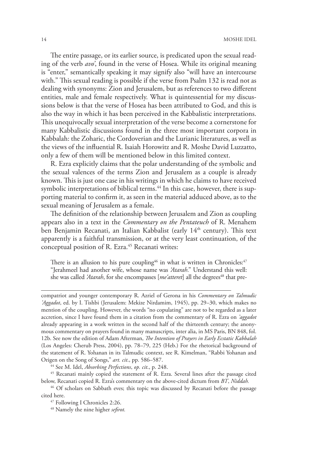The entire passage, or its earlier source, is predicated upon the sexual reading of the verb *avo'*, found in the verse of Hosea. While its original meaning is "enter," semantically speaking it may signify also "will have an intercourse with." This sexual reading is possible if the verse from Psalm 132 is read not as dealing with synonyms: Zion and Jerusalem, but as references to two different entities, male and female respectively. What is quintessential for my discussions below is that the verse of Hosea has been attributed to God, and this is also the way in which it has been perceived in the Kabbalistic interpretations. This unequivocally sexual interpretation of the verse become a cornerstone for many Kabbalistic discussions found in the three most important corpora in Kabbalah: the Zoharic, the Cordoverian and the Lurianic literatures, as well as the views of the influential R. Isaiah Horowitz and R. Moshe David Luzzatto, only a few of them will be mentioned below in this limited context.

R. Ezra explicitly claims that the polar understanding of the symbolic and the sexual valences of the terms Zion and Jerusalem as a couple is already known. This is just one case in his writings in which he claims to have received symbolic interpretations of biblical terms.<sup>44</sup> In this case, however, there is supporting material to confirm it, as seen in the material adduced above, as to the sexual meaning of Jerusalem as a female.

The definition of the relationship between Jerusalem and Zion as coupling appears also in a text in the *Commentary on the Pentateuch* of R. Menahem ben Benjamin Recanati, an Italian Kabbalist (early 14<sup>th</sup> century). This text apparently is a faithful transmission, or at the very least continuation, of the conceptual position of R. Ezra.<sup>45</sup> Recanati writes:

There is an allusion to his pure coupling<sup>46</sup> in what is written in Chronicles: $47$ "Jerahmeel had another wife, whose name was *'Atarah*." Understand this well: she was called *'Atarah*, for she encompasses [*me'atteret*] all the degrees<sup>48</sup> that pre-

compatriot and younger contemporary R. Azriel of Gerona in his *Commentary on Talmudic 'Aggadot*, ed. by I. Tishbi (Jerusalem: Mekize Nirdamim, 1945), pp. 29–30, which makes no mention of the coupling. However, the words "no copulating" are not to be regarded as a later accretion, since I have found them in a citation from the commentary of R. Ezra on *'aggadot* already appearing in a work written in the second half of the thirteenth century; the anonymous commentary on prayers found in many manuscripts, inter alia, in MS Paris, BN 848, fol. 12b. See now the edition of Adam Afterman, *The Intention of Prayers in Early Ecstatic Kabbalah* (Los Angeles: Cherub Press, 2004), pp. 78–79, 225 (Heb.) For the rhetorical background of the statement of R. Yohanan in its Talmudic context, see R. Kimelman, "Rabbi Yohanan and Origen on the Song of Songs," *art. cit*., pp. 586–587.

44 See M. Idel, *Absorbing Perfections*, *op. cit*., p. 248.

45 Recanati mainly copied the statement of R. Ezra. Several lines after the passage cited below, Recanati copied R. Ezra's commentary on the above-cited dictum from *BT*, *Niddah.*

<sup>46</sup> Of scholars on Sabbath eves; this topic was discussed by Recanati before the passage cited here.

47 Following I Chronicles 2:26.

48 Namely the nine higher *sefirot.*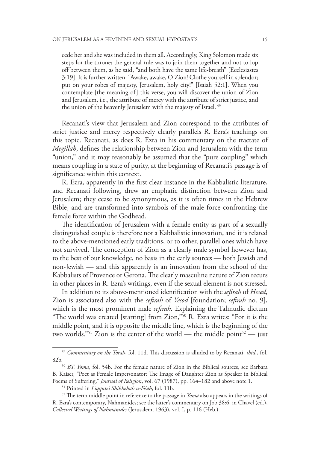cede her and she was included in them all. Accordingly, King Solomon made six steps for the throne; the general rule was to join them together and not to lop off between them, as he said, "and both have the same life-breath" [Ecclesiastes 3:19]. It is further written: "Awake, awake, O Zion! Clothe yourself in splendor; put on your robes of majesty, Jerusalem, holy city!" [Isaiah 52:1]. When you contemplate [the meaning of] this verse, you will discover the union of Zion and Jerusalem, i.e., the attribute of mercy with the attribute of strict justice, and the union of the heavenly Jerusalem with the majesty of Israel. 49

Recanati's view that Jerusalem and Zion correspond to the attributes of strict justice and mercy respectively clearly parallels R. Ezra's teachings on this topic. Recanati, as does R. Ezra in his commentary on the tractate of *Megillah*, defines the relationship between Zion and Jerusalem with the term "union," and it may reasonably be assumed that the "pure coupling" which means coupling in a state of purity, at the beginning of Recanati's passage is of significance within this context.

R. Ezra, apparently in the first clear instance in the Kabbalistic literature, and Recanati following, drew an emphatic distinction between Zion and Jerusalem; they cease to be synonymous, as it is often times in the Hebrew Bible, and are transformed into symbols of the male force confronting the female force within the Godhead.

The identification of Jerusalem with a female entity as part of a sexually distinguished couple is therefore not a Kabbalistic innovation, and it is related to the above-mentioned early traditions, or to other, parallel ones which have not survived. The conception of Zion as a clearly male symbol however has, to the best of our knowledge, no basis in the early sources — both Jewish and non-Jewish — and this apparently is an innovation from the school of the Kabbalists of Provence or Gerona. The clearly masculine nature of Zion recurs in other places in R. Ezra's writings, even if the sexual element is not stressed.

In addition to its above-mentioned identification with the *sefirah* of *Hesed*, Zion is associated also with the *sefirah* of *Yesod* [foundation; *sefirah* no. 9], which is the most prominent male *sefirah*. Explaining the Talmudic dictum "The world was created [starting] from Zion,"50 R. Ezra writes: "For it is the middle point, and it is opposite the middle line, which is the beginning of the two worlds."<sup>51</sup> Zion is the center of the world — the middle point<sup>52</sup> — just

<sup>49</sup> *Commentary on the Torah*, fol. 11d. This discussion is alluded to by Recanati, *ibid.*, fol. 82b.50 *BT. Yoma*, fol. 54b. For the female nature of Zion in the Biblical sources, see Barbara

B. Kaiser, "Poet as Female Impersonator: The Image of Daughter Zion as Speaker in Biblical Poems of Suffering," *Journal of Religion*, vol. 67 (1987), pp. 164–182 and above note 1.

<sup>51</sup> Printed in *Liqqutei Shikhehah u-Fe'ah*, fol. 11b.

<sup>52</sup> The term middle point in reference to the passage in *Yoma* also appears in the writings of R. Ezra's contemporary, Nahmanides; see the latter's commentary on Job 38:6, in Chavel (ed.), *Collected Writings of Nahmanides* (Jerusalem, 1963), vol. I, p. 116 (Heb.).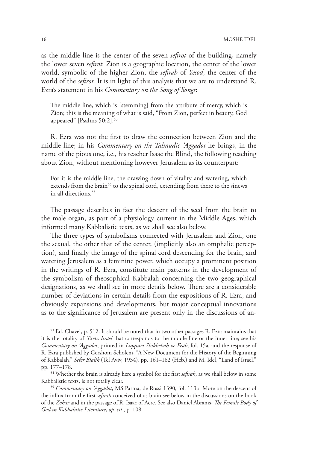as the middle line is the center of the seven *sefirot* of the building, namely the lower seven *sefirot*: Zion is a geographic location, the center of the lower world, symbolic of the higher Zion, the *sefirah* of *Yesod*, the center of the world of the *sefirot.* It is in light of this analysis that we are to understand R. Ezra's statement in his *Commentary on the Song of Songs*:

The middle line, which is [stemming] from the attribute of mercy, which is Zion; this is the meaning of what is said, "From Zion, perfect in beauty, God appeared" [Psalms 50:2].<sup>53</sup>

R. Ezra was not the first to draw the connection between Zion and the middle line; in his *Commentary on the Talmudic 'Aggadot* he brings, in the name of the pious one, i.e., his teacher Isaac the Blind, the following teaching about Zion, without mentioning however Jerusalem as its counterpart:

For it is the middle line, the drawing down of vitality and watering, which extends from the brain<sup>54</sup> to the spinal cord, extending from there to the sinews in all directions<sup>55</sup>

The passage describes in fact the descent of the seed from the brain to the male organ, as part of a physiology current in the Middle Ages, which informed many Kabbalistic texts, as we shall see also below.

The three types of symbolisms connected with Jerusalem and Zion, one the sexual, the other that of the center, (implicitly also an omphalic perception), and finally the image of the spinal cord descending for the brain, and watering Jerusalem as a feminine power, which occupy a prominent position in the writings of R. Ezra, constitute main patterns in the development of the symbolism of theosophical Kabbalah concerning the two geographical designations, as we shall see in more details below. There are a considerable number of deviations in certain details from the expositions of R. Ezra, and obviously expansions and developments, but major conceptual innovations as to the significance of Jerusalem are present only in the discussions of an-

<sup>53</sup> Ed. Chavel, p. 512. It should be noted that in two other passages R. Ezra maintains that it is the totality of *'Eretz Israel* that corresponds to the middle line or the inner line; see his *Commentary on 'Aggadot*, printed in *Liqqutei Shikhehah ve-Feah*, fol. 15a, and the response of R. Ezra published by Gershom Scholem, "A New Document for the History of the Beginning of Kabbalah," *Sefer Bialik* (Tel Aviv, 1934), pp. 161–162 (Heb.) and M. Idel, "Land of Israel," pp. 177–178. 54 Whether the brain is already here a symbol for the first *sefirah*, as we shall below in some

Kabbalistic texts, is not totally clear. 55 *Commentary on 'Aggadot*, MS Parma, de Rossi 1390, fol. 113b. More on the descent of

the influx from the first *sefirah* conceived of as brain see below in the discussions on the book of the *Zohar* and in the passage of R. Isaac of Acre. See also Daniel Abrams, *The Female Body of God in Kabbalistic Literature*, *op. cit*., p. 108.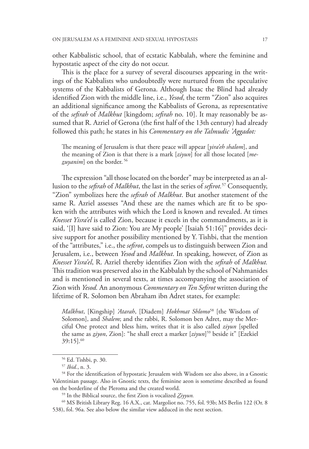other Kabbalistic school, that of ecstatic Kabbalah, where the feminine and hypostatic aspect of the city do not occur.

This is the place for a survey of several discourses appearing in the writings of the Kabbalists who undoubtedly were nurtured from the speculative systems of the Kabbalists of Gerona. Although Isaac the Blind had already identified Zion with the middle line, i.e., *Yesod*, the term "Zion" also acquires an additional significance among the Kabbalists of Gerona, as representative of the *sefirah* of *Malkhut* [kingdom; *sefirah* no. 10]. It may reasonably be assumed that R. Azriel of Gerona (the first half of the 13th century) had already followed this path; he states in his *Commentary on the Talmudic 'Aggadot:*

The meaning of Jerusalem is that there peace will appear [*yira'eh shalom*], and the meaning of Zion is that there is a mark [*ziyun*] for all those located [*mezuyanim*] on the border. 56

The expression "all those located on the border" may be interpreted as an allusion to the *sefirah* of *Malkhut*, the last in the series of *sefirot.*57 Consequently, "Zion" symbolizes here the *sefirah* of *Malkhut*. But another statement of the same R. Azriel assesses "And these are the names which are fit to be spoken with the attributes with which the Lord is known and revealed. At times *Knesset Yisra'el* is called Zion, because it excels in the commandments, as it is said, '[I] have said to Zion: You are My people' [Isaiah 51:16]" provides decisive support for another possibility mentioned by Y. Tishbi, that the mention of the "attributes," i.e., the *sefirot*, compels us to distinguish between Zion and Jerusalem, i.e., between *Yesod* and *Malkhut*. In speaking, however, of Zion as *Knesset Yisra'el*, R. Azriel thereby identifies Zion with the *sefirah* of *Malkhut.*  This tradition was preserved also in the Kabbalah by the school of Nahmanides and is mentioned in several texts, at times accompanying the association of Zion with *Yesod.* An anonymous *Commentary on Ten Sefirot* written during the lifetime of R. Solomon ben Abraham ibn Adret states, for example:

*Malkhut*, [Kingship] *'Atarah*, [Diadem] *Hokhmat Shlomo*58 [the Wisdom of Solomon], and *Shalem*; and the rabbi, R. Solomon ben Adret, may the Merciful One protect and bless him, writes that it is also called *ziyun* [spelled the same as *ziyon*, Zion]: "he shall erect a marker [*ziyun*] 59 beside it" [Ezekiel 39:15].60

<sup>&</sup>lt;sup>56</sup> Ed. Tishbi, p. 30.<br><sup>57</sup> *Ibid.*, n. 3.<br><sup>58</sup> For the identification of hypostatic Jerusalem with Wisdom see also above, in a Gnostic Valentinian passage. Also in Gnostic texts, the feminine aeon is sometime described as found on the borderline of the Pleroma and the created world.

<sup>59</sup> In the Biblical source, the first Zion is vocalized *Ziyyun.*

<sup>60</sup> MS British Library Reg. 16 A.X., cat. Margoliot no. 755, fol. 93b; MS Berlin 122 (Or. 8 538), fol. 96a. See also below the similar view adduced in the next section.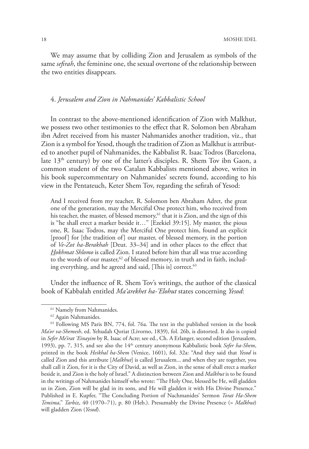We may assume that by colliding Zion and Jerusalem as symbols of the same *sefirah*, the feminine one, the sexual overtone of the relationship between the two entities disappears.

### 4. *Jerusalem and Zion in Nahmanides' Kabbalistic School*

In contrast to the above-mentioned identification of Zion with Malkhut, we possess two other testimonies to the effect that R. Solomon ben Abraham ibn Adret received from his master Nahmanides another tradition, viz., that Zion is a symbol for Yesod, though the tradition of Zion as Malkhut is attributed to another pupil of Nahmanides, the Kabbalist R. Isaac Todros (Barcelona, late 13th century) by one of the latter's disciples. R. Shem Tov ibn Gaon, a common student of the two Catalan Kabbalists mentioned above, writes in his book supercommentary on Nahmanides' secrets found, according to his view in the Pentateuch, Keter Shem Tov, regarding the sefirah of Yesod:

And I received from my teacher, R. Solomon ben Abraham Adret, the great one of the generation, may the Merciful One protect him, who received from his teacher, the master, of blessed memory, $61$  that it is Zion, and the sign of this is "he shall erect a marker beside it…" [Ezekiel 39:15]. My master, the pious one, R. Isaac Todros, may the Merciful One protect him, found an explicit [proof] for [the tradition of] our master, of blessed memory, in the portion of *Ve-Zot ha-Berakhah* [Deut. 33–34] and in other places to the effect that *Hokhmat Shlomo* is called Zion. I stated before him that all was true according to the words of our master,<sup>62</sup> of blessed memory, in truth and in faith, including everything, and he agreed and said, [This is] correct.<sup>63</sup>

Under the influence of R. Shem Tov's writings, the author of the classical book of Kabbalah entitled *Ma'arekhet ha-'Elohut* states concerning *Yesod*:

<sup>&</sup>lt;sup>61</sup> Namely from Nahmanides.

<sup>62</sup> Again Nahmanides.

<sup>63</sup> Following MS Paris BN, 774, fol. 76a. The text in the published version in the book *Ma'or va-Shemesh*, ed. Yehudah Qoriat (Livorno, 1839), fol. 26b, is distorted. It also is copied in *Sefer Me'irat 'Einayim* by R. Isaac of Acre; see ed., Ch. A Erlanger, second edition (Jerusalem, 1993), pp. 7, 315, and see also the 14th century anonymous Kabbalistic book *Sefer ha-Shem*, printed in the book *Heikhal ha-Shem* (Venice, 1601), fol. 32a: "And they said that *Yesod* is called Zion and this attribute [*Malkhut*] is called Jerusalem... and when they are together, you shall call it Zion, for it is the City of David, as well as Zion, in the sense of shall erect a marker beside it, and Zion is the holy of Israel." A distinction between Zion and *Malkhut* is to be found in the writings of Nahmanides himself who wrote: "The Holy One, blessed be He, will gladden us in Zion, Zion will be glad in its sons, and He will gladden it with His Divine Presence." Published in E. Kupfer, "The Concluding Portion of Nachmanides' Sermon *Torat Ha-Shem Temima*," *Tarbiz*, 40 (1970–71), p. 80 (Heb.). Presumably the Divine Presence (= *Malkhut*) will gladden Zion (*Yesod*).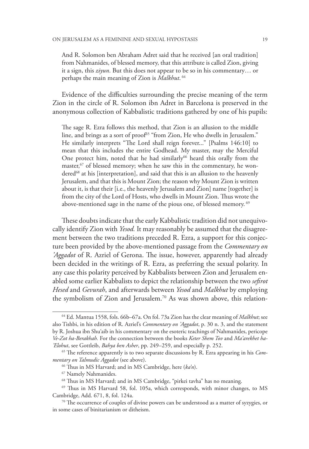And R. Solomon ben Abraham Adret said that he received [an oral tradition] from Nahmanides, of blessed memory, that this attribute is called Zion, giving it a sign, this *ziyun*. But this does not appear to be so in his commentary… or perhaps the main meaning of Zion is *Malkhut*. <sup>64</sup>

Evidence of the difficulties surrounding the precise meaning of the term Zion in the circle of R. Solomon ibn Adret in Barcelona is preserved in the anonymous collection of Kabbalistic traditions gathered by one of his pupils:

The sage R. Ezra follows this method, that Zion is an allusion to the middle line, and brings as a sort of proof<sup>65</sup> "from Zion, He who dwells in Jerusalem." He similarly interprets "The Lord shall reign forever..." [Psalms 146:10] to mean that this includes the entire Godhead. My master, may the Merciful One protect him, noted that he had similarly<sup>66</sup> heard this orally from the master, $67$  of blessed memory; when he saw this in the commentary, he wondered<sup>68</sup> at his [interpretation], and said that this is an allusion to the heavenly Jerusalem, and that this is Mount Zion; the reason why Mount Zion is written about it, is that their [i.e., the heavenly Jerusalem and Zion] name [together] is from the city of the Lord of Hosts, who dwells in Mount Zion. Thus wrote the above-mentioned sage in the name of the pious one, of blessed memory. 69

These doubts indicate that the early Kabbalistic tradition did not unequivocally identify Zion with *Yesod.* It may reasonably be assumed that the disagreement between the two traditions preceded R. Ezra, a support for this conjecture been provided by the above-mentioned passage from the *Commentary on 'Aggadot* of R. Azriel of Gerona. The issue, however, apparently had already been decided in the writings of R. Ezra, as preferring the sexual polarity. In any case this polarity perceived by Kabbalists between Zion and Jerusalem enabled some earlier Kabbalists to depict the relationship between the two *sefirot Hesed* and *Gevurah*, and afterwards between *Yesod* and *Malkhut* by employing the symbolism of Zion and Jerusalem.70 As was shown above, this relation-

<sup>64</sup> Ed. Mantua 1558, fols. 66b–67a. On fol. 73a Zion has the clear meaning of *Malkhut*; see also Tishbi, in his edition of R. Azriel's *Commentary on 'Aggadot*, p. 30 n. 3, and the statement by R. Joshua ibn Shu'aib in his commentary on the esoteric teachings of Nahmanides, pericope *Ve-Zot ha-Berakhah.* For the connection between the books *Keter Shem Tov* and *Ma'arekhet ha- 'Elohut*, see Gottleib, *Bahya ben Asher*, pp. 249–259, and especially p. 252.

<sup>65</sup> The reference apparently is to two separate discussions by R. Ezra appearing in his *Commentary on Talmudic Aggadot* (see above).

<sup>66</sup> Thus in MS Harvard; and in MS Cambridge, here (*ka'n*).

<sup>67</sup> Namely Nahmanides.

<sup>68</sup> Thus in MS Harvard; and in MS Cambridge, "pirkei tavha" has no meaning.

<sup>69</sup> Thus in MS Harvard 58, fol. 105a, which corresponds, with minor changes, to MS Cambridge, Add. 671, 8, fol. 124a.<br><sup>70</sup> The occurrence of couples of divine powers can be understood as a matter of syzygies, or

in some cases of binitarianism or ditheism.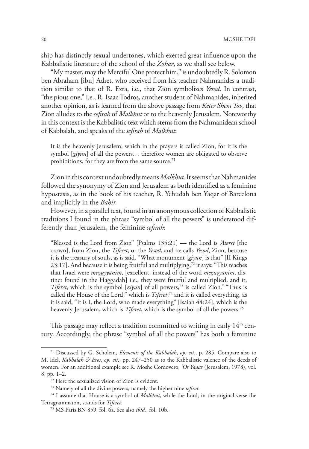ship has distinctly sexual undertones, which exerted great influence upon the Kabbalistic literature of the school of the *Zohar*, as we shall see below.

"My master, may the Merciful One protect him," is undoubtedly R. Solomon ben Abraham [ibn] Adret, who received from his teacher Nahmanides a tradition similar to that of R. Ezra, i.e., that Zion symbolizes *Yesod*. In contrast, "the pious one," i.e., R. Isaac Todros, another student of Nahmanides, inherited another opinion, as is learned from the above passage from *Keter Shem Tov*, that Zion alludes to the *sefirah* of *Malkhut* or to the heavenly Jerusalem. Noteworthy in this context is the Kabbalistic text which stems from the Nahmanidean school of Kabbalah, and speaks of the *sefirah* of *Malkhut*:

It is the heavenly Jerusalem, which in the prayers is called Zion, for it is the symbol [*ziyun*] of all the powers… therefore women are obligated to observe prohibitions, for they are from the same source.<sup>71</sup>

Zion in this context undoubtedly means *Malkhut.* It seems that Nahmanides followed the synonymy of Zion and Jerusalem as both identified as a feminine hypostasis, as in the book of his teacher, R. Yehudah ben Yaqar of Barcelona and implicitly in the *Bahir.*

However, in a parallel text, found in an anonymous collection of Kabbalistic traditions I found in the phrase "symbol of all the powers" is understood differently than Jerusalem, the feminine *sefirah*:

"Blessed is the Lord from Zion" [Psalms 135:21] — the Lord is *'Ateret* [the crown], from Zion, the *Tiferet*, or the *Yesod*, and he calls *Yesod*, Zion, because it is the treasury of souls, as is said, "What monument [*ziyun*] is that" [II Kings 23:17]. And because it is being fruitful and multiplying, $72$  it says: "This teaches that Israel were *mezuyyanim*, [excellent, instead of the word *mezuyyanim*, distinct found in the Haggadah] i.e., they were fruitful and multiplied, and it, *Tiferet*, which is the symbol [*ziyun*] of all powers,<sup>73</sup> is called Zion." "Thus is called the House of the Lord," which is *Tiferet*, 74 and it is called everything, as it is said, "It is I, the Lord, who made everything" [Isaiah 44:24], which is the heavenly Jerusalem, which is *Tiferet*, which is the symbol of all the powers.75

This passage may reflect a tradition committed to writing in early  $14<sup>th</sup>$  century. Accordingly, the phrase "symbol of all the powers" has both a feminine

<sup>71</sup> Discussed by G. Scholem, *Elements of the Kabbalah*, *op. cit*., p. 285. Compare also to M. Idel, *Kabbalah & Eros*, *op. cit*., pp. 247–250 as to the Kabbalistic valence of the deeds of women. For an additional example see R. Moshe Cordovero, *'Or Yaqar* (Jerusalem, 1978), vol. 8, pp. 1–2.

<sup>72</sup> Here the sexualized vision of Zion is evident.

<sup>73</sup> Namely of all the divine powers, namely the higher nine *sefirot.*

<sup>74</sup> I assume that House is a symbol of *Malkhut*, while the Lord, in the original verse the Tetragrammaton, stands for *Tiferet.*

<sup>75</sup> MS Paris BN 859, fol. 6a. See also *ibid.*, fol. 10b.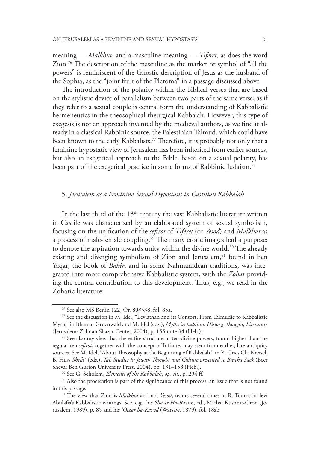meaning — *Malkhut*, and a masculine meaning — *Tiferet*, as does the word Zion.76 The description of the masculine as the marker or symbol of "all the powers" is reminiscent of the Gnostic description of Jesus as the husband of the Sophia, as the "joint fruit of the Pleroma" in a passage discussed above.

The introduction of the polarity within the biblical verses that are based on the stylistic device of parallelism between two parts of the same verse, as if they refer to a sexual couple is central form the understanding of Kabbalistic hermeneutics in the theosophical-theurgical Kabbalah. However, this type of exegesis is not an approach invented by the medieval authors, as we find it already in a classical Rabbinic source, the Palestinian Talmud, which could have been known to the early Kabbalists.<sup>77</sup> Therefore, it is probably not only that a feminine hypostatic view of Jerusalem has been inherited from earlier sources, but also an exegetical approach to the Bible, based on a sexual polarity, has been part of the exegetical practice in some forms of Rabbinic Judaism.<sup>78</sup>

#### 5. *Jerusalem as a Feminine Sexual Hypostasis in Castilian Kabbalah*

In the last third of the  $13<sup>th</sup>$  century the vast Kabbalistic literature written in Castile was characterized by an elaborated system of sexual symbolism, focusing on the unification of the *sefirot* of *Tiferet* (or *Yesod*) and *Malkhut* as a process of male-female coupling.<sup>79</sup> The many erotic images had a purpose: to denote the aspiration towards unity within the divine world.<sup>80</sup> The already existing and diverging symbolism of Zion and Jerusalem,<sup>81</sup> found in ben Yaqar, the book of *Bahir*, and in some Nahmanidean traditions, was integrated into more comprehensive Kabbalistic system, with the *Zohar* providing the central contribution to this development. Thus, e.g., we read in the Zoharic literature:

<sup>76</sup> See also MS Berlin 122, Or. 80#538, fol. 85a.

<sup>77</sup> See the discussion in M. Idel, "Leviathan and its Consort, From Talmudic to Kabbalistic Myth," in Ithamar Gruenwald and M. Idel (eds.), *Myths in Judaism: History, Thought, Literature* (Jerusalem: Zalman Shazar Center, 2004), p. 155 note 34 (Heb.). 78 See also my view that the entire structure of ten divine powers, found higher than the

regular ten *sefirot*, together with the concept of Infinite, may stem from earlier, late antiquity sources. See M. Idel, "About Theosophy at the Beginning of Kabbalah," in Z. Gries Ch. Kreisel, B. Huss *Shefa`* (eds.), *Tal, Studies in Jewish Thought and Culture presented to Bracha Sack* (Beer Sheva: Ben Gurion University Press, 2004), pp. 131–158 (Heb.).<br><sup>79</sup> See G. Scholem, *Elements of the Kabbalah, op. cit.*, p. 294 ff.

<sup>&</sup>lt;sup>80</sup> Also the procreation is part of the significance of this process, an issue that is not found in this passage. 81 The view that Zion is *Malkhut* and not *Yesod*, recurs several times in R. Todros ha-levi

Abulafia's Kabbalistic writings. See, e.g., his *Sha'ar Ha-Razim*, ed., Michal Kushnir-Oron (Jerusalem, 1989), p. 85 and his *'Otzar ha-Kavod* (Warsaw, 1879), fol. 18ab.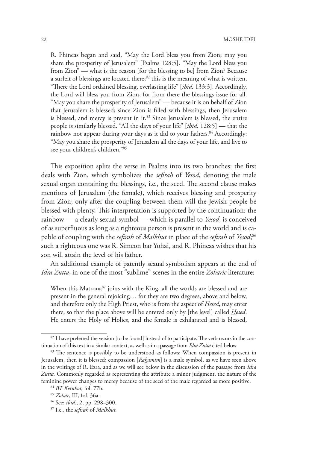22 MOSHE IDEL

R. Phineas began and said, "May the Lord bless you from Zion; may you share the prosperity of Jerusalem" [Psalms 128:5]. "May the Lord bless you from Zion" — what is the reason [for the blessing to be] from Zion? Because a surfeit of blessings are located there; $82$  this is the meaning of what is written, "There the Lord ordained blessing, everlasting life" [*ibid.* 133:3]. Accordingly, the Lord will bless you from Zion, for from there the blessings issue for all. "May you share the prosperity of Jerusalem" — because it is on behalf of Zion that Jerusalem is blessed; since Zion is filled with blessings, then Jerusalem is blessed, and mercy is present in it.<sup>83</sup> Since Jerusalem is blessed, the entire people is similarly blessed. "All the days of your life" [*ibid.* 128:5] — that the rainbow not appear during your days as it did to your fathers.<sup>84</sup> Accordingly: "May you share the prosperity of Jerusalem all the days of your life, and live to see your children's children."85

This exposition splits the verse in Psalms into its two branches: the first deals with Zion, which symbolizes the *sefirah* of *Yesod*, denoting the male sexual organ containing the blessings, i.e., the seed. The second clause makes mentions of Jerusalem (the female), which receives blessing and prosperity from Zion; only after the coupling between them will the Jewish people be blessed with plenty. This interpretation is supported by the continuation: the rainbow — a clearly sexual symbol — which is parallel to *Yesod*, is conceived of as superfluous as long as a righteous person is present in the world and is capable of coupling with the *sefirah* of *Malkhut* in place of the *sefirah* of *Yesod*; 86 such a righteous one was R. Simeon bar Yohai, and R. Phineas wishes that his son will attain the level of his father.

An additional example of patently sexual symbolism appears at the end of *Idra Zutta*, in one of the most "sublime" scenes in the entire *Zoharic* literature:

When this Matrona<sup>87</sup> joins with the King, all the worlds are blessed and are present in the general rejoicing… for they are two degrees, above and below, and therefore only the High Priest, who is from the aspect of *Hesed*, may enter there, so that the place above will be entered only by [the level] called *Hesed*. He enters the Holy of Holies, and the female is exhilarated and is blessed,

<sup>&</sup>lt;sup>82</sup> I have preferred the version [to be found] instead of to participate. The verb recurs in the continuation of this text in a similar context, as well as in a passage from *Idra Zutta* cited below. 83 The sentence is possibly to be understood as follows: When compassion is present in

Jerusalem, then it is blessed; compassion [*Rahamim*] is a male symbol, as we have seen above in the writings of R. Ezra, and as we will see below in the discussion of the passage from *Idra Zutta.* Commonly regarded as representing the attribute a minor judgment, the nature of the feminine power changes to mercy because of the seed of the male regarded as more positive.

<sup>84</sup> *BT Ketubot*, fol. 77b. 85 *Zohar*, III, fol. 36a.

<sup>86</sup> See: *ibid.*, 2, pp. 298–300.

<sup>87</sup> I.e., the *sefirah* of *Malkhut.*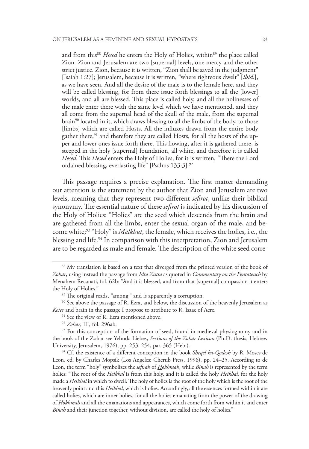and from this<sup>88</sup> *Hesed* he enters the Holy of Holies, within<sup>89</sup> the place called Zion. Zion and Jerusalem are two [supernal] levels, one mercy and the other strict justice. Zion, because it is written, "Zion shall be saved in the judgment" [Isaiah 1:27]; Jerusalem, because it is written, "where righteous dwelt" [*ibid.*], as we have seen. And all the desire of the male is to the female here, and they will be called blessing, for from there issue forth blessings to all the [lower] worlds, and all are blessed. This place is called holy, and all the holinesses of the male enter there with the same level which we have mentioned, and they all come from the supernal head of the skull of the male, from the supernal brain<sup>90</sup> located in it, which draws blessing to all the limbs of the body, to those [limbs] which are called Hosts. All the influxes drawn from the entire body gather there,<sup>91</sup> and therefore they are called Hosts, for all the hosts of the upper and lower ones issue forth there. This flowing, after it is gathered there, is steeped in the holy [supernal] foundation, all white, and therefore it is called *Hesed.* This *Hesed* enters the Holy of Holies, for it is written, "There the Lord ordained blessing, everlasting life" [Psalms 133:3].<sup>92</sup>

This passage requires a precise explanation. The first matter demanding our attention is the statement by the author that Zion and Jerusalem are two levels, meaning that they represent two different *sefirot*, unlike their biblical synonymy. The essential nature of these *sefirot* is indicated by his discussion of the Holy of Holies: "Holies" are the seed which descends from the brain and are gathered from all the limbs, enter the sexual organ of the male, and become white;93 "Holy" is *Malkhut*, the female, which receives the holies, i.e., the blessing and life.94 In comparison with this interpretation, Zion and Jerusalem are to be regarded as male and female. The description of the white seed corre-

<sup>91</sup> See the view of R. Ezra mentioned above.

<sup>88</sup> My translation is based on a text that diverged from the printed version of the book of *Zohar*, using instead the passage from *Idra Zutta* as quoted in *Commentary on the Pentateuch* by Menahem Recanati, fol. 62b: "And it is blessed, and from that [supernal] compassion it enters the Holy of Holies."

<sup>89</sup> The original reads, "among," and is apparently a corruption.

<sup>&</sup>lt;sup>90</sup> See above the passage of R. Ezra, and below, the discussion of the heavenly Jerusalem as *Keter* and brain in the passage I propose to attribute to R. Isaac of Acre.

<sup>92</sup> *Zohar*, III, fol. 296ab.

<sup>&</sup>lt;sup>93</sup> For this conception of the formation of seed, found in medieval physiognomy and in the book of the Zohar see Yehuda Liebes, *Sections of the Zohar Lexicon* (Ph.D. thesis, Hebrew University, Jerusalem, 1976), pp. 253–254, par. 365 (Heb.). 94 Cf. the existence of a different conception in the book *Sheqel ha-Qodesh* by R. Moses de

Leon, ed. by Charles Mopsik (Los Angeles: Cherub Press, 1996), pp. 24–25. According to de Leon, the term "holy" symbolizes the *sefirah* of *Hokhmah*, while *Binah* is represented by the term holies: "The root of the *Heikhal* is from this holy, and it is called the holy *Heikhal*, for the holy made a *Heikhal* in which to dwell. The holy of holies is the root of the holy which is the root of the heavenly point and this *Heikhal*, which is holies. Accordingly, all the essences formed within it are called holies, which are inner holies, for all the holies emanating from the power of the drawing of *Hokhmah* and all the emanations and appearances, which come forth from within it and enter *Binah* and their junction together, without division, are called the holy of holies."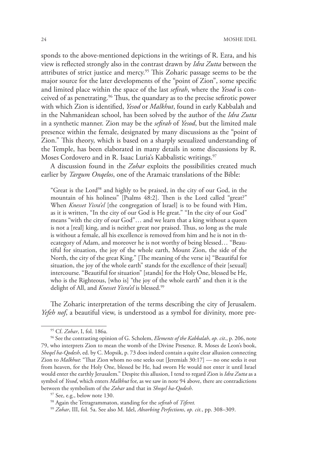sponds to the above-mentioned depictions in the writings of R. Ezra, and his view is reflected strongly also in the contrast drawn by *Idra Zutta* between the attributes of strict justice and mercy.95 This Zoharic passage seems to be the major source for the later developments of the "point of Zion", some specific and limited place within the space of the last *sefirah*, where the *Yesod* is conceived of as penetrating.96 Thus, the quandary as to the precise sefirotic power with which Zion is identified, *Yesod* or *Malkhut*, found in early Kabbalah and in the Nahmanidean school, has been solved by the author of the *Idra Zutta* in a synthetic manner. Zion may be the *sefirah* of *Yesod*, but the limited male presence within the female, designated by many discussions as the "point of Zion." This theory, which is based on a sharply sexualized understanding of the Temple, has been elaborated in many details in some discussions by R. Moses Cordovero and in R. Isaac Luria's Kabbalistic writings.<sup>97</sup>

A discussion found in the *Zohar* exploits the possibilities created much earlier by *Targum Onqelos*, one of the Aramaic translations of the Bible:

"Great is the Lord98 and highly to be praised, in the city of our God, in the mountain of his holiness" [Psalms 48:2]. Then is the Lord called "great?" When *Knesset Yisra'el* [the congregation of Israel] is to be found with Him, as it is written, "In the city of our God is He great." "In the city of our God" means "with the city of our God"… and we learn that a king without a queen is not a [real] king, and is neither great nor praised. Thus, so long as the male is without a female, all his excellence is removed from him and he is not in thecategory of Adam, and moreover he is not worthy of being blessed… "Beautiful for situation, the joy of the whole earth, Mount Zion, the side of the North, the city of the great King." [The meaning of the verse is] "Beautiful for situation, the joy of the whole earth" stands for the excellence of their [sexual] intercourse. "Beautiful for situation" [stands] for the Holy One, blessed be He, who is the Righteous, [who is] "the joy of the whole earth" and then it is the delight of All, and *Knesset Yisra'el* is blessed.<sup>99</sup>

The Zoharic interpretation of the terms describing the city of Jerusalem. *Yefeh nof*, a beautiful view, is understood as a symbol for divinity, more pre-

<sup>95</sup> Cf. *Zohar*, I, fol. 186a. 96 See the contrasting opinion of G. Scholem, *Elements of the Kabbalah*, *op. cit*., p. 206, note 79, who interprets Zion to mean the womb of the Divine Presence. R. Moses de Leon's book, *Sheqel ha-Qodesh*, ed. by C. Mopsik, p. 73 does indeed contain a quite clear allusion connecting Zion to *Malkhut*: "That Zion whom no one seeks out [Jeremiah 30:17] — no one seeks it out from heaven, for the Holy One, blessed be He, had sworn He would not enter it until Israel would enter the earthly Jerusalem." Despite this allusion, I tend to regard Zion is *Idra Zutta* as a symbol of *Yesod*, which enters *Malkhut* for, as we saw in note 94 above, there are contradictions between the symbolism of the *Zohar* and that in *Sheqel ha-Qodesh*. 97 See, e.g., below note 130.

<sup>98</sup> Again the Tetragrammaton, standing for the *sefirah* of *Tiferet.*

<sup>99</sup> *Zohar*, III, fol. 5a. See also M. Idel, *Absorbing Perfections*, *op. cit.*, pp. 308–309.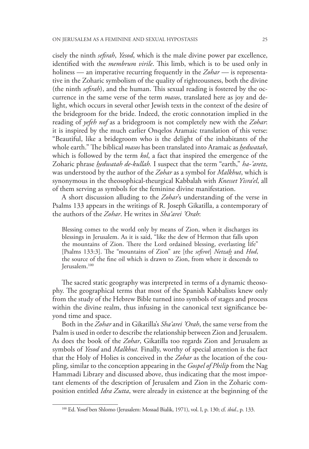cisely the ninth *sefirah*, *Yesod*, which is the male divine power par excellence, identified with the *membrum virile*. This limb, which is to be used only in holiness — an imperative recurring frequently in the *Zohar —* is representative in the Zoharic symbolism of the quality of righteousness, both the divine (the ninth *sefirah*), and the human. This sexual reading is fostered by the occurrence in the same verse of the term *masos*, translated here as joy and delight, which occurs in several other Jewish texts in the context of the desire of the bridegroom for the bride. Indeed, the erotic connotation implied in the reading of *yefeh nof* as a bridegroom is not completely new with the *Zohar*: it is inspired by the much earlier Onqelos Aramaic translation of this verse: "Beautiful, like a bridegroom who is the delight of the inhabitants of the whole earth." The biblical *masos* has been translated into Aramaic as *hedwatah*, which is followed by the term *kol*, a fact that inspired the emergence of the Zoharic phrase *hedwatah de-kullah.* I suspect that the term "earth," *ha-'aretz*, was understood by the author of the *Zohar* as a symbol for *Malkhut*, which is synonymous in the theosophical-theurgical Kabbalah with *Knesset Yisra'el*, all of them serving as symbols for the feminine divine manifestation.

A short discussion alluding to the *Zohar*'s understanding of the verse in Psalms 133 appears in the writings of R. Joseph Gikatilla, a contemporary of the authors of the *Zohar*. He writes in *Sha'arei 'Orah*:

Blessing comes to the world only by means of Zion, when it discharges its blessings in Jerusalem. As it is said, "like the dew of Hermon that falls upon the mountains of Zion. There the Lord ordained blessing, everlasting life" [Psalms 133:3]. The "mountains of Zion" are [the *sefirot*] *Netzah* and *Hod*, the source of the fine oil which is drawn to Zion, from where it descends to Jerusalem.100

The sacred static geography was interpreted in terms of a dynamic theosophy. The geographical terms that most of the Spanish Kabbalists knew only from the study of the Hebrew Bible turned into symbols of stages and process within the divine realm, thus infusing in the canonical text significance beyond time and space.

Both in the *Zohar* and in Gikatilla's *Sha'arei 'Orah*, the same verse from the Psalm is used in order to describe the relationship between Zion and Jerusalem. As does the book of the *Zohar*, Gikatilla too regards Zion and Jerusalem as symbols of *Yesod* and *Malkhut.* Finally, worthy of special attention is the fact that the Holy of Holies is conceived in the *Zohar* as the location of the coupling, similar to the conception appearing in the *Gospel of Philip* from the Nag Hammadi Library and discussed above, thus indicating that the most important elements of the description of Jerusalem and Zion in the Zoharic composition entitled *Idra Zutta*, were already in existence at the beginning of the

<sup>100</sup> Ed. Yosef ben Shlomo (Jerusalem: Mossad Bialik, 1971), vol. I, p. 130; cf. *ibid.*, p. 133.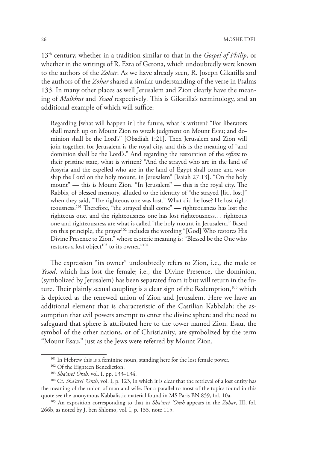13th century, whether in a tradition similar to that in the *Gospel of Philip*, or whether in the writings of R. Ezra of Gerona, which undoubtedly were known to the authors of the *Zohar*. As we have already seen, R. Joseph Gikatilla and the authors of the *Zohar* shared a similar understanding of the verse in Psalms 133. In many other places as well Jerusalem and Zion clearly have the meaning of *Malkhut* and *Yesod* respectively*.* This is Gikatilla's terminology, and an additional example of which will suffice:

Regarding [what will happen in] the future, what is written? "For liberators shall march up on Mount Zion to wreak judgment on Mount Esau; and dominion shall be the Lord's" [Obadiah 1:21]. Then Jerusalem and Zion will join together, for Jerusalem is the royal city, and this is the meaning of "and dominion shall be the Lord's." And regarding the restoration of the *sefirot* to their pristine state, what is written? "And the strayed who are in the land of Assyria and the expelled who are in the land of Egypt shall come and worship the Lord on the holy mount, in Jerusalem" [Isaiah 27:13]. "On the holy mount" — this is Mount Zion. "In Jerusalem" — this is the royal city. The Rabbis, of blessed memory, alluded to the identity of "the strayed [lit., lost]" when they said, "The righteous one was lost." What did he lose? He lost righteousness.101 Therefore, "the strayed shall come" — righteousness has lost the righteous one, and the righteousness one has lost righteousness… righteous one and righteousness are what is called "the holy mount in Jerusalem." Based on this principle, the prayer<sup>102</sup> includes the wording "[God] Who restores His Divine Presence to Zion," whose esoteric meaning is: "Blessed be the One who restores a lost object<sup>103</sup> to its owner."<sup>104</sup>

The expression "its owner" undoubtedly refers to Zion, i.e., the male or *Yesod*, which has lost the female; i.e., the Divine Presence, the dominion, (symbolized by Jerusalem) has been separated from it but will return in the future. Their plainly sexual coupling is a clear sign of the Redemption,<sup>105</sup> which is depicted as the renewed union of Zion and Jerusalem. Here we have an additional element that is characteristic of the Castilian Kabbalah: the assumption that evil powers attempt to enter the divine sphere and the need to safeguard that sphere is attributed here to the tower named Zion. Esau, the symbol of the other nations, or of Christianity, are symbolized by the term "Mount Esau," just as the Jews were referred by Mount Zion.

<sup>&</sup>lt;sup>101</sup> In Hebrew this is a feminine noun, standing here for the lost female power.<br><sup>102</sup> Of the Eighteen Benediction.<br><sup>103</sup> *Sha'arei Orah*, vol. I, pp. 133–134.<br><sup>104</sup> Cf. *Sha'arei 'Orah*, vol. I, p. 123, in which it is c the meaning of the union of man and wife. For a parallel to most of the topics found in this quote see the anonymous Kabbalistic material found in MS Paris BN 859, fol. 10a.

<sup>105</sup> An exposition corresponding to that in *Sha'arei 'Orah* appears in the *Zohar*, III, fol. 266b, as noted by J. ben Shlomo, vol. I, p. 133, note 115.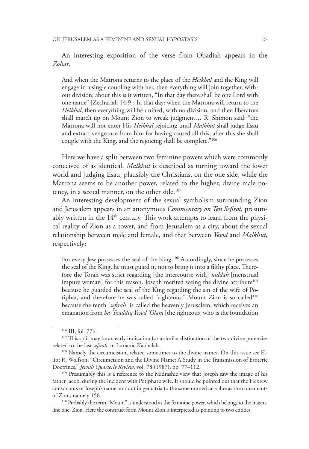An interesting exposition of the verse from Obadiah appears in the *Zohar*,

And when the Matrona returns to the place of the *Heikhal* and the King will engage in a single coupling with her, then everything will join together, without division; about this is it written, "In that day there shall be one Lord with one name" [Zechariah 14:9]: In that day: when the Matrona will return to the *Heikhal*, then everything will be unified, with no division, and then liberators shall march up on Mount Zion to wreak judgment… R. Shimon said: "the Matrona will not enter His *Heikhal* rejoicing until *Malkhut* shall judge Esau and extract vengeance from him for having caused all this; after this she shall couple with the King, and the rejoicing shall be complete."106

Here we have a split between two feminine powers which were commonly conceived of as identical. *Malkhut* is described as turning toward the lower world and judging Esau, plausibly the Christians, on the one side, while the Matrona seems to be another power, related to the higher, divine male potency, in a sexual manner, on the other side.<sup>107</sup>

An interesting development of the sexual symbolism surrounding Zion and Jerusalem appears in an anonymous *Commentary on Ten Sefirot*, presumably written in the  $14<sup>th</sup>$  century. This work attempts to learn from the physical reality of Zion as a tower, and from Jerusalem as a city, about the sexual relationship between male and female, and that between *Yesod* and *Malkhut*, respectively:

For every Jew possesses the seal of the King.<sup>108</sup> Accordingly, since he possesses the seal of the King, he must guard it, not to bring it into a filthy place. Therefore the Torah was strict regarding [the intercourse with] *niddah* [menstrual impure woman] for this reason. Joseph merited seeing the divine attribute<sup>109</sup> because he guarded the seal of the King regarding the sin of the wife of Potiphar, and therefore he was called "righteous." Mount Zion is so called<sup>110</sup> because the tenth [*sefirah*] is called the heavenly Jerusalem, which receives an emanation from *ha-Tzaddiq Yesod 'Olam* [the righteous, who is the foundation

 $106$  III, fol. 77b.<br> $107$  This split may be an early indication for a similar distinction of the two divine potencies related to the last *sefirah*, in Lurianic Kabbalah.

<sup>108</sup> Namely the circumcision, related sometimes to the divine names. On this issue see Elliot R. Wolfson, "Circumcision and the Divine Name: A Study in the Transmission of Esoteric Doctrines," *Jewish Quarterly Review*, vol. 78 (1987), pp. 77–112.<br><sup>109</sup> Presumably this is a reference to the Midrashic view that Joseph saw the image of his

father Jacob, during the incident with Potiphar's wife. It should be pointed out that the Hebrew consonants of Joseph's name amount in gematria to the same numerical value as the consonants of Zion, namely 156.

<sup>110</sup> Probably the term "Mount" is understood as the feminine power, which belongs to the masculine one, Zion. Here the construct form Mount Zion is interpreted as pointing to two entities.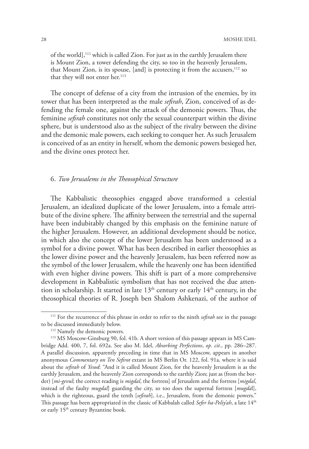of the world],<sup>111</sup> which is called Zion. For just as in the earthly Jerusalem there is Mount Zion, a tower defending the city, so too in the heavenly Jerusalem, that Mount Zion, is its spouse, [and] is protecting it from the accusers,<sup>112</sup> so that they will not enter her.<sup>113</sup>

The concept of defense of a city from the intrusion of the enemies, by its tower that has been interpreted as the male *sefirah*, Zion, conceived of as defending the female one, against the attack of the demonic powers. Thus, the feminine *sefirah* constitutes not only the sexual counterpart within the divine sphere, but is understood also as the subject of the rivalry between the divine and the demonic male powers, each seeking to conquer her. As such Jerusalem is conceived of as an entity in herself, whom the demonic powers besieged her, and the divine ones protect her.

#### 6. *Two Jerusalems in the Theosophical Structure*

The Kabbalistic theosophies engaged above transformed a celestial Jerusalem, an idealized duplicate of the lower Jerusalem, into a female attribute of the divine sphere. The affinity between the terrestrial and the supernal have been indubitably changed by this emphasis on the feminine nature of the higher Jerusalem. However, an additional development should be notice, in which also the concept of the lower Jerusalem has been understood as a symbol for a divine power. What has been described in earlier theosophies as the lower divine power and the heavenly Jerusalem, has been referred now as the symbol of the lower Jerusalem, while the heavenly one has been identified with even higher divine powers. This shift is part of a more comprehensive development in Kabbalistic symbolism that has not received the due attention in scholarship. It started in late  $13<sup>th</sup>$  century or early  $14<sup>th</sup>$  century, in the theosophical theories of R. Joseph ben Shalom Ashkenazi, of the author of

<sup>111</sup> For the recurrence of this phrase in order to refer to the ninth *sefirah* see in the passage to be discussed immediately below.

<sup>112</sup> Namely the demonic powers.

<sup>113</sup> MS Moscow-Ginsburg 90, fol. 41b. A short version of this passage appears in MS Cambridge Add. 400, 7, fol. 692a. See also M. Idel, *Absorbing Perfections*, *op. cit*., pp. 286–287. A parallel discussion, apparently preceding in time that in MS Moscow, appears in another anonymous *Commentary on Ten Sefirot* extant in MS Berlin Or. 122, fol. 91a, where it is said about the *sefirah* of *Yesod*: "And it is called Mount Zion, for the heavenly Jerusalem is as the earthly Jerusalem, and the heavenly Zion corresponds to the earthly Zion; just as (from the border) [*mi-gevul*; the correct reading is *migdal*, the fortress] of Jerusalem and the fortress [*migdal*, instead of the faulty *mugdal*] guarding the city, so too does the supernal fortress [*mugda*l], which is the righteous, guard the tenth [*sefirah*], i.e., Jerusalem, from the demonic powers." This passage has been appropriated in the classic of Kabbalah called *Sefer ha-Peliy'ah*, a late 14<sup>th</sup> or early 15<sup>th</sup> century Byzantine book.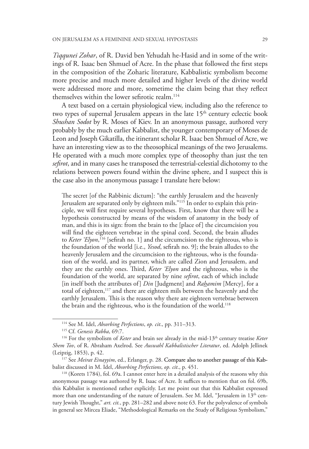*Tiqqunei Zohar*, of R. David ben Yehudah he-Hasid and in some of the writings of R. Isaac ben Shmuel of Acre. In the phase that followed the first steps in the composition of the Zoharic literature, Kabbalistic symbolism become more precise and much more detailed and higher levels of the divine world were addressed more and more, sometime the claim being that they reflect themselves within the lower sefirotic realm.<sup>114</sup>

A text based on a certain physiological view, including also the reference to two types of supernal Jerusalem appears in the late 15<sup>th</sup> century eclectic book *Shushan Sodot* by R. Moses of Kiev. In an anonymous passage, authored very probably by the much earlier Kabbalist, the younger contemporary of Moses de Leon and Joseph Gikatilla, the itinerant scholar R. Isaac ben Shmuel of Acre, we have an interesting view as to the theosophical meanings of the two Jerusalems. He operated with a much more complex type of theosophy than just the ten *sefirot*, and in many cases he transposed the terrestrial-celestial dichotomy to the relations between powers found within the divine sphere, and I suspect this is the case also in the anonymous passage I translate here below:

The secret [of the Rabbinic dictum]: "the earthly Jerusalem and the heavenly Jerusalem are separated only by eighteen mils."<sup>115</sup> In order to explain this principle, we will first require several hypotheses. First, know that there will be a hypothesis constructed by means of the wisdom of anatomy in the body of man, and this is its sign: from the brain to the [place of] the circumcision you will find the eighteen vertebrae in the spinal cord. Second, the brain alludes to *Keter 'Elyon*, 116 [sefirah no. 1] and the circumcision to the righteous, who is the foundation of the world [i.e., *Yesod*, sefirah no. 9]; the brain alludes to the heavenly Jerusalem and the circumcision to the righteous, who is the foundation of the world, and its partner, which are called Zion and Jerusalem, and they are the earthly ones. Third, *Keter 'Elyon* and the righteous, who is the foundation of the world, are separated by nine *sefirot*, each of which include [in itself both the attributes of] *Din* [Judgment] and *Rahamim* [Mercy], for a total of eighteen,<sup>117</sup> and there are eighteen mils between the heavenly and the earthly Jerusalem. This is the reason why there are eighteen vertebrae between the brain and the righteous, who is the foundation of the world.<sup>118</sup>

118 (Korets 1784), fol. 69a. I cannot enter here in a detailed analysis of the reasons why this anonymous passage was authored by R. Isaac of Acre. It suffices to mention that on fol. 69b, this Kabbalist is mentioned rather explicitly. Let me point out that this Kabbalist expressed more than one understanding of the nature of Jerusalem. See M. Idel, "Jerusalem in  $13<sup>th</sup>$  century Jewish Thought," *art. cit.*, pp. 281–282 and above note 63. For the polyvalence of symbols in general see Mircea Eliade, "Methodological Remarks on the Study of Religious Symbolism,"

<sup>114</sup> See M. Idel, *Absorbing Perfections*, *op. cit*., pp. 311–313.

<sup>115</sup> Cf. *Genesis Rabba*, 69:7.

<sup>116</sup> For the symbolism of *Keter* and brain see already in the mid-13th century treatise *Keter Shem Tov*, of R. Abraham Axelrod. See *Auswahl Kabbalistischer Literatur*, ed. Adolph Jellinek (Leipzig, 1853), p. 42.

<sup>&</sup>lt;sup>117</sup> See *Meirat Einayyim*, ed., Erlanger, p. 28. Compare also to another passage of this Kabbalist discussed in M. Idel, *Absorbing Perfections*, *op. cit*., p. 451.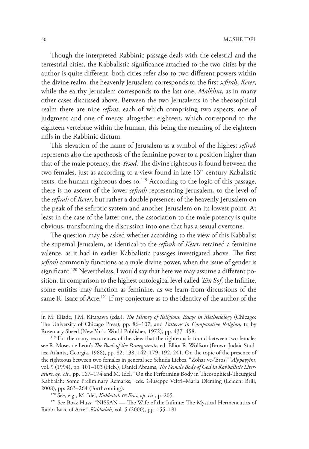Though the interpreted Rabbinic passage deals with the celestial and the terrestrial cities, the Kabbalistic significance attached to the two cities by the author is quite different: both cities refer also to two different powers within the divine realm: the heavenly Jerusalem corresponds to the first *sefirah*, *Keter*, while the earthy Jerusalem corresponds to the last one, *Malkhut*, as in many other cases discussed above. Between the two Jerusalems in the theosophical realm there are nine *sefirot*, each of which comprising two aspects, one of judgment and one of mercy, altogether eighteen, which correspond to the eighteen vertebrae within the human, this being the meaning of the eighteen mils in the Rabbinic dictum.

This elevation of the name of Jerusalem as a symbol of the highest *sefirah*  represents also the apotheosis of the feminine power to a position higher than that of the male potency, the *Yesod*. The divine righteous is found between the two females, just as according to a view found in late  $13<sup>th</sup>$  century Kabalistic texts, the human righteous does so.<sup>119</sup> According to the logic of this passage, there is no ascent of the lower *sefirah* representing Jerusalem, to the level of the *sefirah* of *Keter*, but rather a double presence: of the heavenly Jerusalem on the peak of the sefirotic system and another Jerusalem on its lowest point. At least in the case of the latter one, the association to the male potency is quite obvious, transforming the discussion into one that has a sexual overtone.

The question may be asked whether according to the view of this Kabbalist the supernal Jerusalem, as identical to the *sefirah* of *Keter*, retained a feminine valence, as it had in earlier Kabbalistic passages investigated above. The first *sefirah* commonly functions as a male divine power, when the issue of gender is significant.<sup>120</sup> Nevertheless, I would say that here we may assume a different position. In comparison to the highest ontological level called *'Ein Sof*, the Infinite, some entities may function as feminine, as we learn from discussions of the same R. Isaac of Acre.<sup>121</sup> If my conjecture as to the identity of the author of the

in M. Eliade, J.M. Kitagawa (eds.), *The History of Religions. Essays in Methodology* (Chicago: The University of Chicago Press), pp. 86–107, and *Patterns in Comparative Religion*, tr. by Rosemary Sheed (New York: World Publisher, 1972), pp. 437–458.

<sup>&</sup>lt;sup>119</sup> For the many recurrences of the view that the righteous is found between two females see R. Moses de Leon's *The Book of the Pomegranate*, ed. Elliot R. Wolfson (Brown Judaic Studies, Atlanta, Georgia, 1988), pp. 82, 138, 142, 179, 192, 241. On the topic of the presence of the righteous between two females in general see Yehuda Liebes, "Zohar ve-'Eros," '*Alppayyim*, vol. 9 (1994), pp. 101–103 (Heb.), Daniel Abrams, *The Female Body of God in Kabbalistic Literature*, *op. cit*., pp. 167–174 and M. Idel, "On the Performing Body in Theosophical-Theurgical Kabbalah: Some Preliminary Remarks," eds. Giuseppe Veltri–Maria Dieming (Leiden: Brill, 2008), pp. 263–264 (Forthcoming). 120 See, e.g., M. Idel, *Kabbalah & Eros*, *op. cit*., p. 205.

<sup>&</sup>lt;sup>121</sup> See Boaz Huss, "NISSAN — The Wife of the Infinite: The Mystical Hermeneutics of Rabbi Isaac of Acre," *Kabbalah*, vol. 5 (2000), pp. 155–181.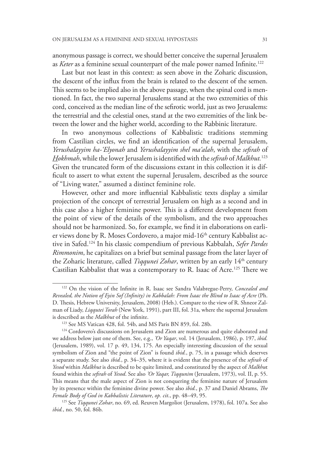anonymous passage is correct, we should better conceive the supernal Jerusalem as *Keter* as a feminine sexual counterpart of the male power named Infinite.<sup>122</sup>

Last but not least in this context: as seen above in the Zoharic discussion, the descent of the influx from the brain is related to the descent of the semen. This seems to be implied also in the above passage, when the spinal cord is mentioned. In fact, the two supernal Jerusalems stand at the two extremities of this cord, conceived as the median line of the sefirotic world, just as two Jerusalems: the terrestrial and the celestial ones, stand at the two extremities of the link between the lower and the higher world, according to the Rabbinic literature.

In two anonymous collections of Kabbalistic traditions stemming from Castilian circles, we find an identification of the supernal Jerusalem, *Yerushalayyim ha-'Elyonah* and *Yerushalayyim shel ma'alah*, with the *sefirah* of *Hokhmah*, while the lower Jerusalem is identified with the *sefirah* of *Malkhut.*<sup>123</sup> Given the truncated form of the discussions extant in this collection it is difficult to assert to what extent the supernal Jerusalem, described as the source of "Living water," assumed a distinct feminine role.

However, other and more influential Kabbalistic texts display a similar projection of the concept of terrestrial Jerusalem on high as a second and in this case also a higher feminine power. This is a different development from the point of view of the details of the symbolism, and the two approaches should not be harmonized. So, for example, we find it in elaborations on earlier views done by R. Moses Cordovero, a major mid-16<sup>th</sup> century Kabbalist active in Safed.124 In his classic compendium of previous Kabbalah, *Sefer Pardes Rimmonim*, he capitalizes on a brief but seminal passage from the later layer of the Zoharic literature, called *Tiqqunei Zohar*, written by an early 14th century Castilian Kabbalist that was a contemporary to R. Isaac of Acre.125 There we

<sup>122</sup> On the vision of the Infinite in R. Isaac see Sandra Valabregue-Perry, *Concealed and Revealed, the Notion of Eyin Sof (Infinity) in Kabbalah: From Isaac the Blind to Isaac of Acre* (Ph. D. Thesis, Hebrew University, Jerusalem, 2008) (Heb.). Compare to the view of R. Shneor Zalman of Liady, *Liqqutei Torah* (New York, 1991), part III, fol. 31a, where the supernal Jerusalem is described as the *Malkhut* of the infinite.

<sup>123</sup> See MS Vatican 428, fol. 54b, and MS Paris BN 859, fol. 28b.

 $124$  Cordovero's discussions on Jerusalem and Zion are numerous and quite elaborated and we address below just one of them. See, e.g., *'Or Yaqar*, vol. 14 (Jerusalem, 1986), p. 197, *ibid.* (Jerusalem, 1989), vol. 17 p. 49, 134, 175. An especially interesting discussion of the sexual symbolism of Zion and "the point of Zion" is found *ibid.*, p. 75, in a passage which deserves a separate study. See also *ibid.*, p. 34–35, where it is evident that the presence of the *sefirah* of *Yesod* within *Malkhut* is described to be quite limited, and constituted by the aspect of *Malkhu*t found within the *sefirah* of *Yesod*. See also *'Or Yaqar, Tiqqunim* (Jerusalem, 1973), vol. II, p. 55. This means that the male aspect of Zion is not conquering the feminine nature of Jerusalem by its presence within the feminine divine power. See also *ibid.*, p. 37 and Daniel Abrams, *The Female Body of God in Kabbalistic Literature*, *op. cit*., pp. 48–49, 95. 125 See *Tiqqunei Zohar*, no. 69, ed. Reuven Margoliot (Jerusalem, 1978), fol. 107a. See also

*ibid.*, no. 50, fol. 86b.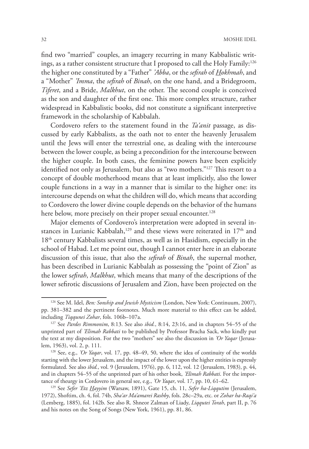find two "married" couples, an imagery recurring in many Kabbalistic writings, as a rather consistent structure that I proposed to call the Holy Family:<sup>126</sup> the higher one constituted by a "Father" *'Abba*, or the *sefirah* of *Hokhmah*, and a "Mother" *'Imma*, the *sefirah* of *Binah*, on the one hand, and a Bridegroom, *Tiferet*, and a Bride, *Malkhut*, on the other. The second couple is conceived as the son and daughter of the first one. This more complex structure, rather widespread in Kabbalistic books, did not constitute a significant interpretive framework in the scholarship of Kabbalah.

Cordovero refers to the statement found in the *Ta'anit* passage, as discussed by early Kabbalists, as the oath not to enter the heavenly Jerusalem until the Jews will enter the terrestrial one, as dealing with the intercourse between the lower couple, as being a precondition for the intercourse between the higher couple. In both cases, the feminine powers have been explicitly identified not only as Jerusalem, but also as "two mothers."<sup>127</sup> This resort to a concept of double motherhood means that at least implicitly, also the lower couple functions in a way in a manner that is similar to the higher one: its intercourse depends on what the children will do, which means that according to Cordovero the lower divine couple depends on the behavior of the humans here below, more precisely on their proper sexual encounter.<sup>128</sup>

Major elements of Cordovero's interpretation were adopted in several instances in Lurianic Kabbalah,<sup>129</sup> and these views were reiterated in  $17<sup>th</sup>$  and 18<sup>th</sup> century Kabbalists several times, as well as in Hasidism, especially in the school of Habad. Let me point out, though I cannot enter here in an elaborate discussion of this issue, that also the *sefirah* of *Binah*, the supernal mother, has been described in Lurianic Kabbalah as possessing the "point of Zion" as the lower s*efirah*, *Malkhut*, which means that many of the descriptions of the lower sefirotic discussions of Jerusalem and Zion, have been projected on the

<sup>126</sup> See M. Idel, *Ben: Sonship and Jewish Mysticism* (London, New York: Continuum, 2007), pp. 381–382 and the pertinent footnotes. Much more material to this effect can be added, including *Tiqqunei Zohar*, fols. 106b–107a. 127 See *Pardes Rimmonim*, 8:13. See also *ibid.*, 8:14, 23:16, and in chapters 54–55 of the

unprinted part of *'Elimah Rabbati* to be published by Professor Bracha Sack, who kindly put the text at my disposition. For the two "mothers" see also the discussion in *'Or Yaqar* (Jerusalem, 1963), vol. 2, p. 111.

<sup>128</sup> See, e.g., *'Or Yaqar*, vol. 17, pp. 48–49, 50, where the idea of continuity of the worlds starting with the lower Jerusalem, and the impact of the lower upon the higher entities is expressly formulated. See also *ibid.*, vol. 9 (Jerusalem, 1976), pp. 6, 112, vol. 12 (Jerusalem, 1983), p. 44, and in chapters 54–55 of the unprinted part of his other book, *'Elimah Rabbati*. For the importance of theurgy in Cordovero in general see, e.g., *'Or Yaqar*, vol. 17, pp. 10, 61–62. 129 See *Sefer 'Etz Hayyim* (Warsaw, 1891), Gate 15, ch. 11, *Sefer ha-Liqqutim* (Jerusalem,

<sup>1972),</sup> Shoftim, ch. 4, fol. 74b, *Sha'ar Ma'amarei Rashby*, fols. 28c–29a, etc. or *Zohar ha-Raqi'a* (Lemberg, 1885), fol. 142b. See also R. Shneor Zalman of Liady, *Liqqutei Torah*, part II, p. 76 and his notes on the Song of Songs (New York, 1961), pp. 81, 86.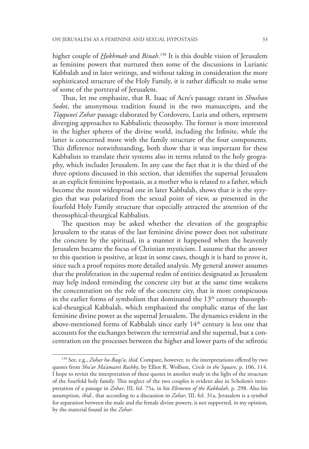higher couple of *Hokhmah* and *Binah*. 130 It is this double vision of Jerusalem as feminine powers that nurtured then some of the discussions in Lurianic Kabbalah and in later writings, and without taking in consideration the more sophisticated structure of the Holy Family, it is rather difficult to make sense of some of the portrayal of Jerusalem.

Thus, let me emphasize, that R. Isaac of Acre's passage extant in *Shushan Sodot*, the anonymous tradition found in the two manuscripts, and the *Tiqqunei Zohar* passage elaborated by Cordovero, Luria and others, represent diverging approaches to Kabbalistic theosophy. The former is more interested in the higher spheres of the divine world, including the Infinite, while the latter is concerned more with the family structure of the four components. This difference notwithstanding, both show that it was important for these Kabbalists to translate their systems also in terms related to the holy geography, which includes Jerusalem. In any case the fact that it is the third of the three options discussed in this section, that identifies the supernal Jerusalem as an explicit feminine hypostasis, as a mother who is related to a father, which become the most widespread one in later Kabbalah, shows that it is the syzygies that was polarized from the sexual point of view, as presented in the fourfold Holy Family structure that especially attracted the attention of the theosophical-theurgical Kabbalists.

The question may be asked whether the elevation of the geographic Jerusalem to the status of the last feminine divine power does not substitute the concrete by the spiritual, in a manner it happened when the heavenly Jerusalem became the focus of Christian mysticism. I assume that the answer to this question is positive, at least in some cases, though it is hard to prove it, since such a proof requires more detailed analysis. My general answer assumes that the proliferation in the supernal realm of entities designated as Jerusalem may help indeed reminding the concrete city but at the same time weakens the concentration on the role of the concrete city, that is more conspicuous in the earlier forms of symbolism that dominated the  $13<sup>th</sup>$  century theosophical-theurgical Kabbalah, which emphasized the omphalic status of the last feminine divine power as the supernal Jerusalem. The dynamics evident in the above-mentioned forms of Kabbalah since early  $14<sup>th</sup>$  century is less one that accounts for the exchanges between the terrestrial and the supernal, but a concentration on the processes between the higher and lower parts of the sefirotic

<sup>130</sup> See, e.g., *Zohar ha-Raqi'a*, *ibid.* Compare, however, to the interpretations offered by two quotes from *Sha'ar Ma'amarei Rashby*, by Elliot R. Wolfson, *Circle in the Square*, p. 106, 114. I hope to revisit the interpretation of these quotes in another study in the light of the structure of the fourfold holy family. This neglect of the two couples is evident also in Scholem's interpretation of a passage in *Zohar*, III, fol. 75a, in his *Elements of the Kabbalah*, p. 298. Also his assumption, *ibid.*, that according to a discussion in *Zohar*, III, fol. 31a, Jerusalem is a symbol for separation between the male and the female divine powers, is not supported, in my opinion, by the material found in the *Zohar*.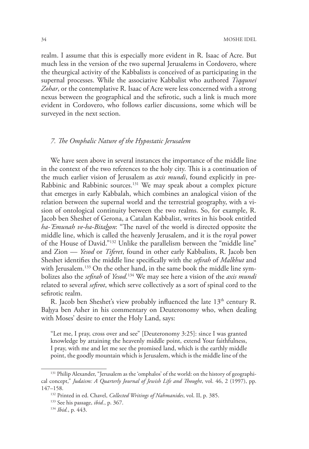realm. I assume that this is especially more evident in R. Isaac of Acre. But much less in the version of the two supernal Jerusalems in Cordovero, where the theurgical activity of the Kabbalists is conceived of as participating in the supernal processes. While the associative Kabbalist who authored *Tiqqunei Zohar*, or the contemplative R. Isaac of Acre were less concerned with a strong nexus between the geographical and the sefirotic, such a link is much more evident in Cordovero, who follows earlier discussions, some which will be surveyed in the next section.

## *7. The Omphalic Nature of the Hypostatic Jerusalem*

We have seen above in several instances the importance of the middle line in the context of the two references to the holy city. This is a continuation of the much earlier vision of Jerusalem as *axis mundi*, found explicitly in pre-Rabbinic and Rabbinic sources.131 We may speak about a complex picture that emerges in early Kabbalah, which combines an analogical vision of the relation between the supernal world and the terrestrial geography, with a vision of ontological continuity between the two realms. So, for example, R. Jacob ben Sheshet of Gerona, a Catalan Kabbalist, writes in his book entitled *ha-'Emunah ve-ha-Bitahon*: "The navel of the world is directed opposite the middle line, which is called the heavenly Jerusalem, and it is the royal power of the House of David."132 Unlike the parallelism between the "middle line" and Zion — *Yesod* or *Tiferet*, found in other early Kabbalists, R. Jacob ben Sheshet identifies the middle line specifically with the *sefirah* of *Malkhut* and with Jerusalem.<sup>133</sup> On the other hand, in the same book the middle line symbolizes also the *sefirah* of *Yesod.*134 We may see here a vision of the *axis mundi* related to several *sefirot*, which serve collectively as a sort of spinal cord to the sefirotic realm.

R. Jacob ben Sheshet's view probably influenced the late 13<sup>th</sup> century R. Bahya ben Asher in his commentary on Deuteronomy who, when dealing with Moses' desire to enter the Holy Land, says:

"Let me, I pray, cross over and see" [Deuteronomy 3:25]: since I was granted knowledge by attaining the heavenly middle point, extend Your faithfulness, I pray, with me and let me see the promised land, which is the earthly middle point, the goodly mountain which is Jerusalem, which is the middle line of the

<sup>131</sup> Philip Alexander, "Jerusalem as the 'omphalos' of the world: on the history of geographical concept," *Judaism: A Quarterly Journal of Jewish Life and Thought*, vol. 46, 2 (1997), pp. 147–158.

<sup>132</sup> Printed in ed. Chavel, *Collected Writings of Nahmanides*, vol. II, p. 385.

<sup>133</sup> See his passage, *ibid.*, p. 367. 134 *Ibid.*, p. 443.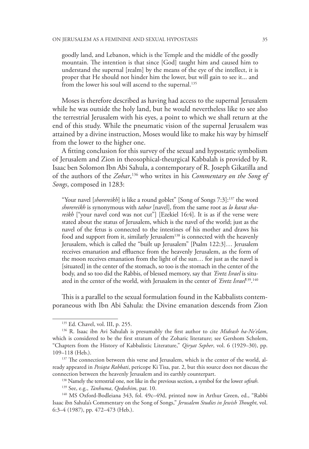goodly land, and Lebanon, which is the Temple and the middle of the goodly mountain. The intention is that since [God] taught him and caused him to understand the supernal [realm] by the means of the eye of the intellect, it is proper that He should not hinder him the lower, but will gain to see it... and from the lower his soul will ascend to the supernal.<sup>135</sup>

Moses is therefore described as having had access to the supernal Jerusalem while he was outside the holy land, but he would nevertheless like to see also the terrestrial Jerusalem with his eyes, a point to which we shall return at the end of this study. While the pneumatic vision of the supernal Jerusalem was attained by a divine instruction, Moses would like to make his way by himself from the lower to the higher one.

A fitting conclusion for this survey of the sexual and hypostatic symbolism of Jerusalem and Zion in theosophical-theurgical Kabbalah is provided by R. Isaac ben Solomon Ibn Abi Sahula, a contemporary of R. Joseph Gikatilla and of the authors of the *Zohar*, 136 who writes in his *Commentary on the Song of Songs*, composed in 1283:

"Your navel [*shorereikh*] is like a round goblet" [Song of Songs 7:3]:137 the word *shorereikh* is synonymous with *tabur* [navel], from the same root as *lo karat shareikh* ["your navel cord was not cut"] [Ezekiel 16:4]. It is as if the verse were stated about the status of Jerusalem, which is the navel of the world; just as the navel of the fetus is connected to the intestines of his mother and draws his food and support from it, similarly Jerusalem<sup>138</sup> is connected with the heavenly Jerusalem, which is called the "built up Jerusalem" [Psalm 122:3]… Jerusalem receives emanation and effluence from the heavenly Jerusalem, as the form of the moon receives emanation from the light of the sun… for just as the navel is [situated] in the center of the stomach, so too is the stomach in the center of the body, and so too did the Rabbis, of blessed memory, say that *'Eretz Israel* is situated in the center of the world, with Jerusalem in the center of *'Eretz Israel*139. 140

This is a parallel to the sexual formulation found in the Kabbalists contemporaneous with Ibn Abi Sahula: the Divine emanation descends from Zion

<sup>&</sup>lt;sup>135</sup> Ed. Chavel, vol. III, p. 255.<br><sup>136</sup> R. Isaac ibn Avi Sahulah is presumably the first author to cite *Midrash ha-Ne'elam*, which is considered to be the first stratum of the Zoharic literature; see Gershom Scholem, "Chapters from the History of Kabbalistic Literature," *Qiryat Sepher*, vol. 6 (1929–30), pp. 109–118 (Heb.).<br><sup>137</sup> The connection between this verse and Jerusalem, which is the center of the world, al-

ready appeared in *Pesiqta Rabbati*, pericope Ki Tisa, par. 2, but this source does not discuss the connection between the heavenly Jerusalem and its earthly counterpart. 138 Namely the terrestrial one, not like in the previous section, a symbol for the lower *sefirah*.

<sup>&</sup>lt;sup>139</sup> See, e.g., *Tanhuma, Qedoshim*, par. 10.<br><sup>140</sup> MS Oxford-Bodleiana 343, fol. 49c–49d, printed now in Arthur Green, ed., "Rabbi Isaac ibn Sahula's Commentary on the Song of Songs," *Jerusalem Studies in Jewish Thought*, vol. 6:3–4 (1987), pp. 472–473 (Heb.).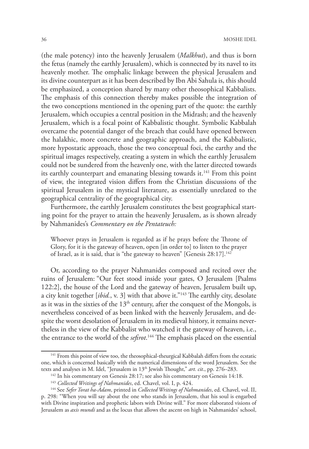(the male potency) into the heavenly Jerusalem (*Malkhut*), and thus is born the fetus (namely the earthly Jerusalem), which is connected by its navel to its heavenly mother. The omphalic linkage between the physical Jerusalem and its divine counterpart as it has been described by Ibn Abi Sahula is, this should be emphasized, a conception shared by many other theosophical Kabbalists. The emphasis of this connection thereby makes possible the integration of the two conceptions mentioned in the opening part of the quote: the earthly Jerusalem, which occupies a central position in the Midrash; and the heavenly Jerusalem, which is a focal point of Kabbalistic thought. Symbolic Kabbalah overcame the potential danger of the breach that could have opened between the halakhic, more concrete and geographic approach, and the Kabbalistic, more hypostatic approach, those the two conceptual foci, the earthy and the spiritual images respectively, creating a system in which the earthly Jerusalem could not be sundered from the heavenly one, with the latter directed towards its earthly counterpart and emanating blessing towards it.<sup>141</sup> From this point of view, the integrated vision differs from the Christian discussions of the spiritual Jerusalem in the mystical literature, as essentially unrelated to the geographical centrality of the geographical city.

Furthermore, the earthly Jerusalem constitutes the best geographical starting point for the prayer to attain the heavenly Jerusalem, as is shown already by Nahmanides's *Commentary on the Pentateuch:*

Whoever prays in Jerusalem is regarded as if he prays before the Throne of Glory, for it is the gateway of heaven, open [in order to] to listen to the prayer of Israel, as it is said, that is "the gateway to heaven" [Genesis 28:17].<sup>142</sup>

Or, according to the prayer Nahmanides composed and recited over the ruins of Jerusalem: "Our feet stood inside your gates, O Jerusalem [Psalms 122:2], the house of the Lord and the gateway of heaven, Jerusalem built up, a city knit together [*ibid.*, v. 3] with that above it."143 The earthly city, desolate as it was in the sixties of the  $13<sup>th</sup>$  century, after the conquest of the Mongols, is nevertheless conceived of as been linked with the heavenly Jerusalem, and despite the worst desolation of Jerusalem in its medieval history, it remains nevertheless in the view of the Kabbalist who watched it the gateway of heaven, i.e., the entrance to the world of the *sefirot*. 144 The emphasis placed on the essential

<sup>&</sup>lt;sup>141</sup> From this point of view too, the theosophical-theurgical Kabbalah differs from the ecstatic one, which is concerned basically with the numerical dimensions of the word Jerusalem. See the texts and analyses in M. Idel, "Jerusalem in 13<sup>th</sup> Jewish Thought," art. cit., pp. 276-283.

<sup>&</sup>lt;sup>142</sup> In his commentary on Genesis 28:17; see also his commentary on Genesis 14:18.<br><sup>143</sup> Collected Writings of Nahmanides, ed. Chavel, vol. I, p. 424.

<sup>&</sup>lt;sup>144</sup> See Sefer Torat ha-Adam, printed in Collected Writings of Nahmanides, ed. Chavel, vol. II, p. 298: "When you will say about the one who stands in Jerusalem, that his soul is engarbed with Divine inspiration and prophetic labors with Divine will." For more elaborated visions of Jerusalem as *axis mundi* and as the locus that allows the ascent on high in Nahmanides' school,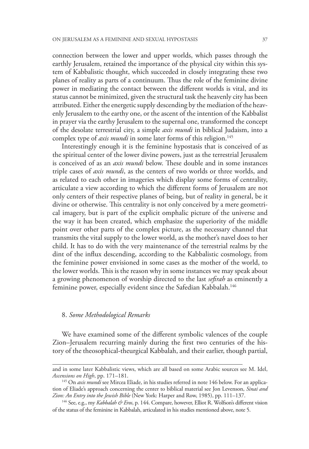connection between the lower and upper worlds, which passes through the earthly Jerusalem, retained the importance of the physical city within this system of Kabbalistic thought, which succeeded in closely integrating these two planes of reality as parts of a continuum. Thus the role of the feminine divine power in mediating the contact between the different worlds is vital, and its status cannot be minimized, given the structural task the heavenly city has been attributed. Either the energetic supply descending by the mediation of the heavenly Jerusalem to the earthy one, or the ascent of the intention of the Kabbalist in prayer via the earthy Jerusalem to the supernal one, transformed the concept of the desolate terrestrial city, a simple *axis mundi* in biblical Judaism, into a complex type of *axis mundi* in some later forms of this religion.<sup>145</sup>

Interestingly enough it is the feminine hypostasis that is conceived of as the spiritual center of the lower divine powers, just as the terrestrial Jerusalem is conceived of as an *axis mundi* below. These double and in some instances triple cases of *axis mundi*, as the centers of two worlds or three worlds, and as related to each other in imageries which display some forms of centrality, articulate a view according to which the different forms of Jerusalem are not only centers of their respective planes of being, but of reality in general, be it divine or otherwise. This centrality is not only conceived by a mere geometrical imagery, but is part of the explicit omphalic picture of the universe and the way it has been created, which emphasize the superiority of the middle point over other parts of the complex picture, as the necessary channel that transmits the vital supply to the lower world, as the mother's navel does to her child. It has to do with the very maintenance of the terrestrial realms by the dint of the influx descending, according to the Kabbalistic cosmology, from the feminine power envisioned in some cases as the mother of the world, to the lower worlds. This is the reason why in some instances we may speak about a growing phenomenon of worship directed to the last *sefirah* as eminently a feminine power, especially evident since the Safedian Kabbalah.<sup>146</sup>

#### 8. *Some Methodological Remarks*

We have examined some of the different symbolic valences of the couple Zion–Jerusalem recurring mainly during the first two centuries of the history of the theosophical-theurgical Kabbalah, and their earlier, though partial,

and in some later Kabbalistic views, which are all based on some Arabic sources see M. Idel, *Ascensions on High*, pp. 171–181.<br><sup>145</sup> On *axis mundi* see Mircea Eliade, in his studies referred in note 146 below. For an applica-

tion of Eliade's approach concerning the center to biblical material see Jon Levenson, *Sinai and Zion: An Entry into the Jewish Bible* (New York: Harper and Row, 1985), pp. 111–137.

<sup>146</sup> See, e.g., my *Kabbalah & Eros*, p. 144. Compare, however, Elliot R. Wolfson's different vision of the status of the feminine in Kabbalah, articulated in his studies mentioned above, note 5.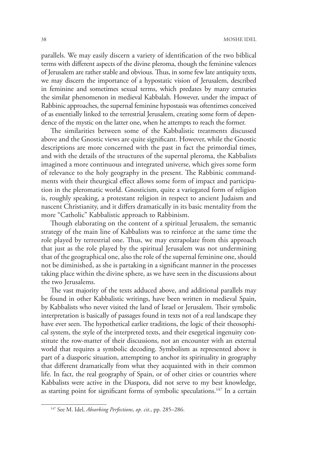parallels. We may easily discern a variety of identification of the two biblical terms with different aspects of the divine pleroma, though the feminine valences of Jerusalem are rather stable and obvious. Thus, in some few late antiquity texts, we may discern the importance of a hypostatic vision of Jerusalem, described in feminine and sometimes sexual terms, which predates by many centuries the similar phenomenon in medieval Kabbalah. However, under the impact of Rabbinic approaches, the supernal feminine hypostasis was oftentimes conceived of as essentially linked to the terrestrial Jerusalem, creating some form of dependence of the mystic on the latter one, when he attempts to reach the former.

The similarities between some of the Kabbalistic treatments discussed above and the Gnostic views are quite significant. However, while the Gnostic descriptions are more concerned with the past in fact the primordial times, and with the details of the structures of the supernal pleroma, the Kabbalists imagined a more continuous and integrated universe, which gives some form of relevance to the holy geography in the present. The Rabbinic commandments with their theurgical effect allows some form of impact and participation in the pleromatic world. Gnosticism, quite a variegated form of religion is, roughly speaking, a protestant religion in respect to ancient Judaism and nascent Christianity, and it differs dramatically in its basic mentality from the more "Catholic" Kabbalistic approach to Rabbinism.

Though elaborating on the content of a spiritual Jerusalem, the semantic strategy of the main line of Kabbalists was to reinforce at the same time the role played by terrestrial one. Thus, we may extrapolate from this approach that just as the role played by the spiritual Jerusalem was not undermining that of the geographical one, also the role of the supernal feminine one, should not be diminished, as she is partaking in a significant manner in the processes taking place within the divine sphere, as we have seen in the discussions about the two Jerusalems.

The vast majority of the texts adduced above, and additional parallels may be found in other Kabbalistic writings, have been written in medieval Spain, by Kabbalists who never visited the land of Israel or Jerusalem. Their symbolic interpretation is basically of passages found in texts not of a real landscape they have ever seen. The hypothetical earlier traditions, the logic of their theosophical system, the style of the interpreted texts, and their exegetical ingenuity constitute the row-matter of their discussions, not an encounter with an external world that requires a symbolic decoding. Symbolism as represented above is part of a diasporic situation, attempting to anchor its spirituality in geography that different dramatically from what they acquainted with in their common life. In fact, the real geography of Spain, or of other cities or countries where Kabbalists were active in the Diaspora, did not serve to my best knowledge, as starting point for significant forms of symbolic speculations.<sup>147</sup> In a certain

<sup>147</sup> See M. Idel, *Absorbing Perfections*, *op. cit*., pp. 285–286.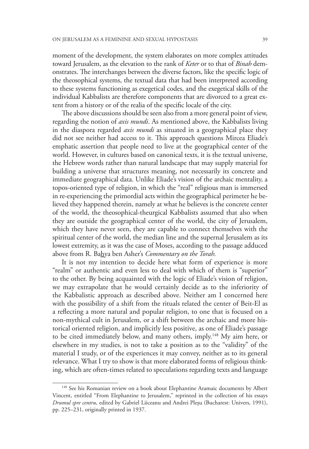moment of the development, the system elaborates on more complex attitudes toward Jerusalem, as the elevation to the rank of *Keter* or to that of *Binah* demonstrates. The interchanges between the diverse factors, like the specific logic of the theosophical systems, the textual data that had been interpreted according to these systems functioning as exegetical codes, and the exegetical skills of the individual Kabbalists are therefore components that are divorced to a great extent from a history or of the realia of the specific locale of the city.

The above discussions should be seen also from a more general point of view, regarding the notion of *axis mundi*. As mentioned above, the Kabbalists living in the diaspora regarded *axis mundi* as situated in a geographical place they did not see neither had access to it. This approach questions Mircea Eliade's emphatic assertion that people need to live at the geographical center of the world. However, in cultures based on canonical texts, it is the textual universe, the Hebrew words rather than natural landscape that may supply material for building a universe that structures meaning, not necessarily its concrete and immediate geographical data. Unlike Eliade's vision of the archaic mentality, a topos-oriented type of religion, in which the "real" religious man is immersed in re-experiencing the primordial acts within the geographical perimeter he believed they happened therein, namely at what he believes is the concrete center of the world, the theosophical-theurgical Kabbalists assumed that also when they are outside the geographical center of the world, the city of Jerusalem, which they have never seen, they are capable to connect themselves with the spiritual center of the world, the median line and the supernal Jerusalem as its lowest extremity, as it was the case of Moses, according to the passage adduced above from R. Bahya ben Asher's *Commentary on the Torah.*

It is not my intention to decide here what form of experience is more "realm" or authentic and even less to deal with which of them is "superior" to the other. By being acquainted with the logic of Eliade's vision of religion, we may extrapolate that he would certainly decide as to the inferiority of the Kabbalistic approach as described above. Neither am I concerned here with the possibility of a shift from the rituals related the center of Beit-El as a reflecting a more natural and popular religion, to one that is focused on a non-mythical cult in Jerusalem, or a shift between the archaic and more historical oriented religion, and implicitly less positive, as one of Eliade's passage to be cited immediately below, and many others, imply.148 My aim here, or elsewhere in my studies, is not to take a position as to the "validity" of the material I study, or of the experiences it may convey, neither as to its general relevance. What I try to show is that more elaborated forms of religious thinking, which are often-times related to speculations regarding texts and language

<sup>&</sup>lt;sup>148</sup> See his Romanian review on a book about Elephantine Aramaic documents by Albert Vincent, entitled "From Elephantine to Jerusalem," reprinted in the collection of his essays *Drumul spre centru*, edited by Gabriel Liiceanu and Andrei Pleşu (Bucharest: Univers, 1991), pp. 225–231, originally printed in 1937.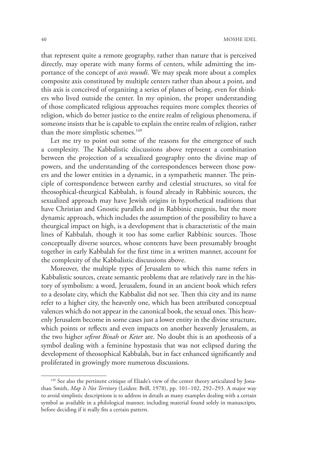that represent quite a remote geography, rather than nature that is perceived directly, may operate with many forms of centers, while admitting the importance of the concept of *axis mundi*. We may speak more about a complex composite axis constituted by multiple centers rather than about a point, and this axis is conceived of organizing a series of planes of being, even for thinkers who lived outside the center. In my opinion, the proper understanding of those complicated religious approaches requires more complex theories of religion, which do better justice to the entire realm of religious phenomena, if someone insists that he is capable to explain the entire realm of religion, rather than the more simplistic schemes.<sup>149</sup>

Let me try to point out some of the reasons for the emergence of such a complexity. The Kabbalistic discussions above represent a combination between the projection of a sexualized geography onto the divine map of powers, and the understanding of the correspondences between those powers and the lower entities in a dynamic, in a sympathetic manner. The principle of correspondence between earthy and celestial structures, so vital for theosophical-theurgical Kabbalah, is found already in Rabbinic sources, the sexualized approach may have Jewish origins in hypothetical traditions that have Christian and Gnostic parallels and in Rabbinic exegesis, but the more dynamic approach, which includes the assumption of the possibility to have a theurgical impact on high, is a development that is characteristic of the main lines of Kabbalah, though it too has some earlier Rabbinic sources. Those conceptually diverse sources, whose contents have been presumably brought together in early Kabbalah for the first time in a written manner, account for the complexity of the Kabbalistic discussions above.

Moreover, the multiple types of Jerusalem to which this name refers in Kabbalistic sources, create semantic problems that are relatively rare in the history of symbolism: a word, Jerusalem, found in an ancient book which refers to a desolate city, which the Kabbalist did not see. Then this city and its name refer to a higher city, the heavenly one, which has been attributed conceptual valences which do not appear in the canonical book, the sexual ones. This heavenly Jerusalem become in some cases just a lower entity in the divine structure, which points or reflects and even impacts on another heavenly Jerusalem, as the two higher *sefirot Binah* or *Keter* are. No doubt this is an apotheosis of a symbol dealing with a feminine hypostasis that was not eclipsed during the development of theosophical Kabbalah, but in fact enhanced significantly and proliferated in growingly more numerous discussions.

<sup>&</sup>lt;sup>149</sup> See also the pertinent critique of Eliade's view of the center theory articulated by Jonathan Smith, *Map Is Not Territory* (Leiden: Brill, 1978), pp. 101–102, 292–293. A major way to avoid simplistic descriptions is to address in details as many examples dealing with a certain symbol as available in a philological manner, including material found solely in manuscripts, before deciding if it really fits a certain pattern.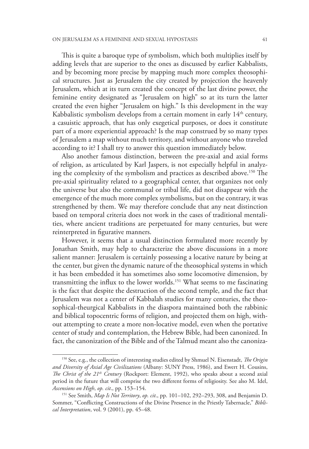This is quite a baroque type of symbolism, which both multiplies itself by adding levels that are superior to the ones as discussed by earlier Kabbalists, and by becoming more precise by mapping much more complex theosophical structures. Just as Jerusalem the city created by projection the heavenly Jerusalem, which at its turn created the concept of the last divine power, the feminine entity designated as "Jerusalem on high" so at its turn the latter created the even higher "Jerusalem on high." Is this development in the way Kabbalistic symbolism develops from a certain moment in early  $14<sup>th</sup>$  century, a casuistic approach, that has only exegetical purposes, or does it constitute part of a more experiential approach? Is the map construed by so many types of Jerusalem a map without much territory, and without anyone who traveled according to it? I shall try to answer this question immediately below.

Also another famous distinction, between the pre-axial and axial forms of religion, as articulated by Karl Jaspers, is not especially helpful in analyzing the complexity of the symbolism and practices as described above.150 The pre-axial spirituality related to a geographical center, that organizes not only the universe but also the communal or tribal life, did not disappear with the emergence of the much more complex symbolisms, but on the contrary, it was strengthened by them. We may therefore conclude that any neat distinction based on temporal criteria does not work in the cases of traditional mentalities, where ancient traditions are perpetuated for many centuries, but were reinterpreted in figurative manners.

However, it seems that a usual distinction formulated more recently by Jonathan Smith, may help to characterize the above discussions in a more salient manner: Jerusalem is certainly possessing a locative nature by being at the center, but given the dynamic nature of the theosophical systems in which it has been embedded it has sometimes also some locomotive dimension, by transmitting the influx to the lower worlds.151 What seems to me fascinating is the fact that despite the destruction of the second temple, and the fact that Jerusalem was not a center of Kabbalah studies for many centuries, the theosophical-theurgical Kabbalists in the diaspora maintained both the rabbinic and biblical topocentric forms of religion, and projected them on high, without attempting to create a more non-locative model, even when the portative center of study and contemplation, the Hebrew Bible, had been canonized. In fact, the canonization of the Bible and of the Talmud meant also the canoniza-

<sup>150</sup> See, e.g., the collection of interesting studies edited by Shmuel N. Eisenstadt, *The Origin and Diversity of Axial Age Civilizations* (Albany: SUNY Press, 1986), and Ewert H. Cousins, *The Christ of the 21<sup>th</sup> Century* (Rockport: Element, 1992), who speaks about a second axial period in the future that will comprise the two different forms of religiosity. See also M. Idel, *Ascensions on High*, *op. cit*., pp. 153–154.

<sup>151</sup> See Smith, *Map Is Not Territory*, *op. cit*., pp. 101–102, 292–293, 308, and Benjamin D. Sommer, "Conflicting Constructions of the Divine Presence in the Priestly Tabernacle," *Biblical Interpretation*, vol. 9 (2001), pp. 45–48.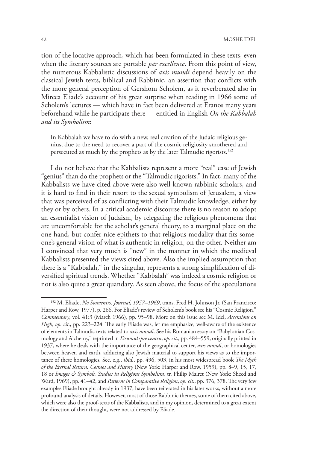tion of the locative approach, which has been formulated in these texts, even when the literary sources are portable *par excellence*. From this point of view, the numerous Kabbalistic discussions of *axis mundi* depend heavily on the classical Jewish texts, biblical and Rabbinic, an assertion that conflicts with the more general perception of Gershom Scholem, as it reverberated also in Mircea Eliade's account of his great surprise when reading in 1966 some of Scholem's lectures — which have in fact been delivered at Eranos many years beforehand while he participate there — entitled in English *On the Kabbalah and its Symbolism*:

In Kabbalah we have to do with a new, real creation of the Judaic religious genius, due to the need to recover a part of the cosmic religiosity smothered and persecuted as much by the prophets as by the later Talmudic rigorists.152

I do not believe that the Kabbalists represent a more "real" case of Jewish "genius" than do the prophets or the "Talmudic rigorists." In fact, many of the Kabbalists we have cited above were also well-known rabbinic scholars, and it is hard to find in their resort to the sexual symbolism of Jerusalem, a view that was perceived of as conflicting with their Talmudic knowledge, either by they or by others. In a critical academic discourse there is no reason to adopt an essentialist vision of Judaism, by relegating the religious phenomena that are uncomfortable for the scholar's general theory, to a marginal place on the one hand, but confer nice epithets to that religious modality that fits someone's general vision of what is authentic in religion, on the other. Neither am I convinced that very much is "new" in the manner in which the medieval Kabbalists presented the views cited above. Also the implied assumption that there is a "Kabbalah," in the singular, represents a strong simplification of diversified spiritual trends. Whether "Kabbalah" was indeed a cosmic religion or not is also quite a great quandary. As seen above, the focus of the speculations

<sup>152</sup> M. Eliade, *No Souvenirs*. *Journal, 1957–1969*, trans. Fred H. Johnson Jr. (San Francisco: Harper and Row, 1977), p. 266. For Eliade's review of Scholem's book see his "Cosmic Religion," *Commentary*, vol. 41:3 (March 1966), pp. 95–98. More on this issue see M. Idel, *Ascensions on High*, *op. cit*., pp. 223–224. The early Eliade was, let me emphasize, well-aware of the existence of elements in Talmudic texts related to *axis mundi*. See his Romanian essay on "Babylonian Cosmology and Alchemy," reprinted in *Drumul spre centru*, *op. cit*., pp. 484–559, originally printed in 1937, where he deals with the importance of the geographical center, *axis mundi*, or homologies between heaven and earth, adducing also Jewish material to support his views as to the importance of these homologies. See, e.g., *ibid.*, pp. 496, 503, in his most widespread book *The Myth of the Eternal Return, Cosmos and History* (New York: Harper and Row, 1959), pp. 8–9, 15, 17, 18 or *Images & Symbols. Studies in Religious Symbolism*, tr. Philip Mairet (New York: Sheed and Ward, 1969), pp. 41–42, and *Patterns in Comparative Religion*, *op. cit*., pp. 376, 378. The very few examples Eliade brought already in 1937, have been reiterated in his later works, without a more profound analysis of details. However, most of those Rabbinic themes, some of them cited above, which were also the proof-texts of the Kabbalists, and in my opinion, determined to a great extent the direction of their thought, were not addressed by Eliade.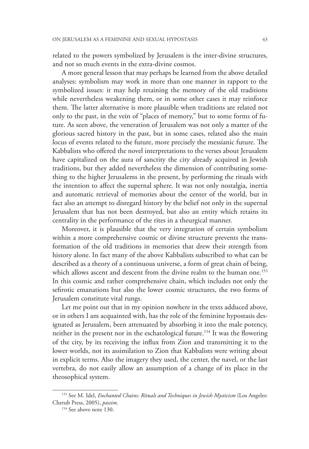related to the powers symbolized by Jerusalem is the inter-divine structures, and not so much events in the extra-divine cosmos.

A more general lesson that may perhaps be learned from the above detailed analyses: symbolism may work in more than one manner in rapport to the symbolized issues: it may help retaining the memory of the old traditions while nevertheless weakening them, or in some other cases it may reinforce them. The latter alternative is more plausible when traditions are related not only to the past, in the vein of "places of memory," but to some forms of future. As seen above, the veneration of Jerusalem was not only a matter of the glorious sacred history in the past, but in some cases, related also the main locus of events related to the future, more precisely the messianic future. The Kabbalists who offered the novel interpretations to the verses about Jerusalem have capitalized on the aura of sanctity the city already acquired in Jewish traditions, but they added nevertheless the dimension of contributing something to the higher Jerusalems in the present, by performing the rituals with the intention to affect the supernal sphere. It was not only nostalgia, inertia and automatic retrieval of memories about the center of the world, but in fact also an attempt to disregard history by the belief not only in the supernal Jerusalem that has not been destroyed, but also an entity which retains its centrality in the performance of the rites in a theurgical manner.

Moreover, it is plausible that the very integration of certain symbolism within a more comprehensive cosmic or divine structure prevents the transformation of the old traditions in memories that drew their strength from history alone. In fact many of the above Kabbalists subscribed to what can be described as a theory of a continuous universe, a form of great chain of being, which allows ascent and descent from the divine realm to the human one.<sup>153</sup> In this cosmic and rather comprehensive chain, which includes not only the sefirotic emanations but also the lower cosmic structures, the two forms of Jerusalem constitute vital rungs.

Let me point out that in my opinion nowhere in the texts adduced above, or in others I am acquainted with, has the role of the feminine hypostasis designated as Jerusalem, been attenuated by absorbing it into the male potency, neither in the present nor in the eschatological future.154 It was the flowering of the city, by its receiving the influx from Zion and transmitting it to the lower worlds, not its assimilation to Zion that Kabbalists were writing about in explicit terms. Also the imagery they used, the center, the navel, or the last vertebra, do not easily allow an assumption of a change of its place in the theosophical system.

<sup>153</sup> See M. Idel, *Enchanted Chains: Rituals and Techniques in Jewish Mysticism* (Los Angeles: Cherub Press, 2005), *passim*. 154 See above note 130.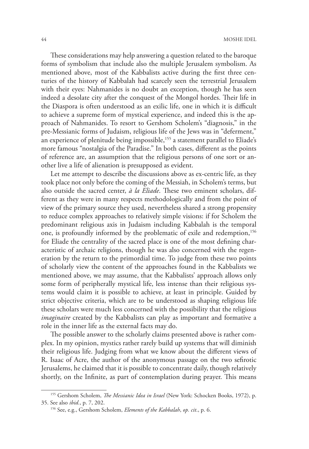These considerations may help answering a question related to the baroque forms of symbolism that include also the multiple Jerusalem symbolism. As mentioned above, most of the Kabbalists active during the first three centuries of the history of Kabbalah had scarcely seen the terrestrial Jerusalem with their eyes: Nahmanides is no doubt an exception, though he has seen indeed a desolate city after the conquest of the Mongol hordes. Their life in the Diaspora is often understood as an exilic life, one in which it is difficult to achieve a supreme form of mystical experience, and indeed this is the approach of Nahmanides. To resort to Gershom Scholem's "diagnosis," in the pre-Messianic forms of Judaism, religious life of the Jews was in "deferment," an experience of plenitude being impossible,<sup>155</sup> a statement parallel to Eliade's more famous "nostalgia of the Paradise." In both cases, different as the points of reference are, an assumption that the religious persons of one sort or another live a life of alienation is presupposed as evident.

Let me attempt to describe the discussions above as ex-centric life, as they took place not only before the coming of the Messiah, in Scholem's terms, but also outside the sacred center, *à la Eliade*. These two eminent scholars, different as they were in many respects methodologically and from the point of view of the primary source they used, nevertheless shared a strong propensity to reduce complex approaches to relatively simple visions: if for Scholem the predominant religious axis in Judaism including Kabbalah is the temporal one, is profoundly informed by the problematic of exile and redemption,<sup>156</sup> for Eliade the centrality of the sacred place is one of the most defining characteristic of archaic religions, though he was also concerned with the regeneration by the return to the primordial time. To judge from these two points of scholarly view the content of the approaches found in the Kabbalists we mentioned above, we may assume, that the Kabbalists' approach allows only some form of peripherally mystical life, less intense than their religious systems would claim it is possible to achieve, at least in principle. Guided by strict objective criteria, which are to be understood as shaping religious life these scholars were much less concerned with the possibility that the religious *imaginaire* created by the Kabbalists can play as important and formative a role in the inner life as the external facts may do.

The possible answer to the scholarly claims presented above is rather complex. In my opinion, mystics rather rarely build up systems that will diminish their religious life. Judging from what we know about the different views of R. Isaac of Acre, the author of the anonymous passage on the two sefirotic Jerusalems, he claimed that it is possible to concentrate daily, though relatively shortly, on the Infinite, as part of contemplation during prayer. This means

<sup>155</sup> Gershom Scholem, *The Messianic Idea in Israel* (New York: Schocken Books, 1972), p. 35. See also *ibid.*, p. 7, 202. 156 See, e.g., Gershom Scholem, *Elements of the Kabbalah*, *op. cit*., p. 6.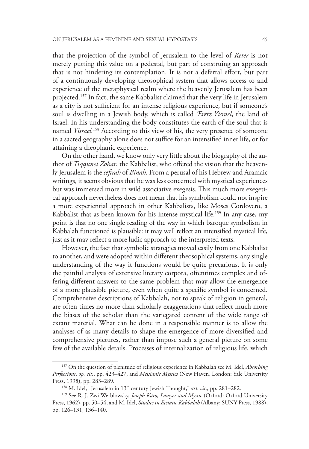that the projection of the symbol of Jerusalem to the level of *Keter* is not merely putting this value on a pedestal, but part of construing an approach that is not hindering its contemplation. It is not a deferral effort, but part of a continuously developing theosophical system that allows access to and experience of the metaphysical realm where the heavenly Jerusalem has been projected.157 In fact, the same Kabbalist claimed that the very life in Jerusalem as a city is not sufficient for an intense religious experience, but if someone's soul is dwelling in a Jewish body, which is called *'Eretz Yisrael*, the land of Israel. In his understanding the body constitutes the earth of the soul that is named *Yisrael.*158 According to this view of his, the very presence of someone in a sacred geography alone does not suffice for an intensified inner life, or for attaining a theophanic experience.

On the other hand, we know only very little about the biography of the author of *Tiqqunei Zohar*, the Kabbalist, who offered the vision that the heavenly Jerusalem is the *sefirah* of *Binah*. From a perusal of his Hebrew and Aramaic writings, it seems obvious that he was less concerned with mystical experiences but was immersed more in wild associative exegesis. This much more exegetical approach nevertheless does not mean that his symbolism could not inspire a more experiential approach in other Kabbalists, like Moses Cordovero, a Kabbalist that as been known for his intense mystical life.<sup>159</sup> In any case, my point is that no one single reading of the way in which baroque symbolism in Kabbalah functioned is plausible: it may well reflect an intensified mystical life, just as it may reflect a more ludic approach to the interpreted texts.

However, the fact that symbolic strategies moved easily from one Kabbalist to another, and were adopted within different theosophical systems, any single understanding of the way it functions would be quite precarious. It is only the painful analysis of extensive literary corpora, oftentimes complex and offering different answers to the same problem that may allow the emergence of a more plausible picture, even when quite a specific symbol is concerned. Comprehensive descriptions of Kabbalah, not to speak of religion in general, are often times no more than scholarly exaggerations that reflect much more the biases of the scholar than the variegated content of the wide range of extant material. What can be done in a responsible manner is to allow the analyses of as many details to shape the emergence of more diversified and comprehensive pictures, rather than impose such a general picture on some few of the available details. Processes of internalization of religious life, which

<sup>157</sup> On the question of plenitude of religious experience in Kabbalah see M. Idel, *Absorbing Perfections*, *op. cit*., pp. 423–427, and *Messianic Mystics* (New Haven, London: Yale University Press, 1998), pp. 283–289. 158 M. Idel, "Jerusalem in 13th century Jewish Thought," *art. cit*., pp. 281–282.

<sup>159</sup> See R. J. Zwi Werblowsky, *Joseph Karo, Lawyer and Mystic* (Oxford: Oxford University Press, 1962), pp. 50–54, and M. Idel, *Studies in Ecstatic Kabbalah* (Albany: SUNY Press, 1988), pp. 126–131, 136–140.